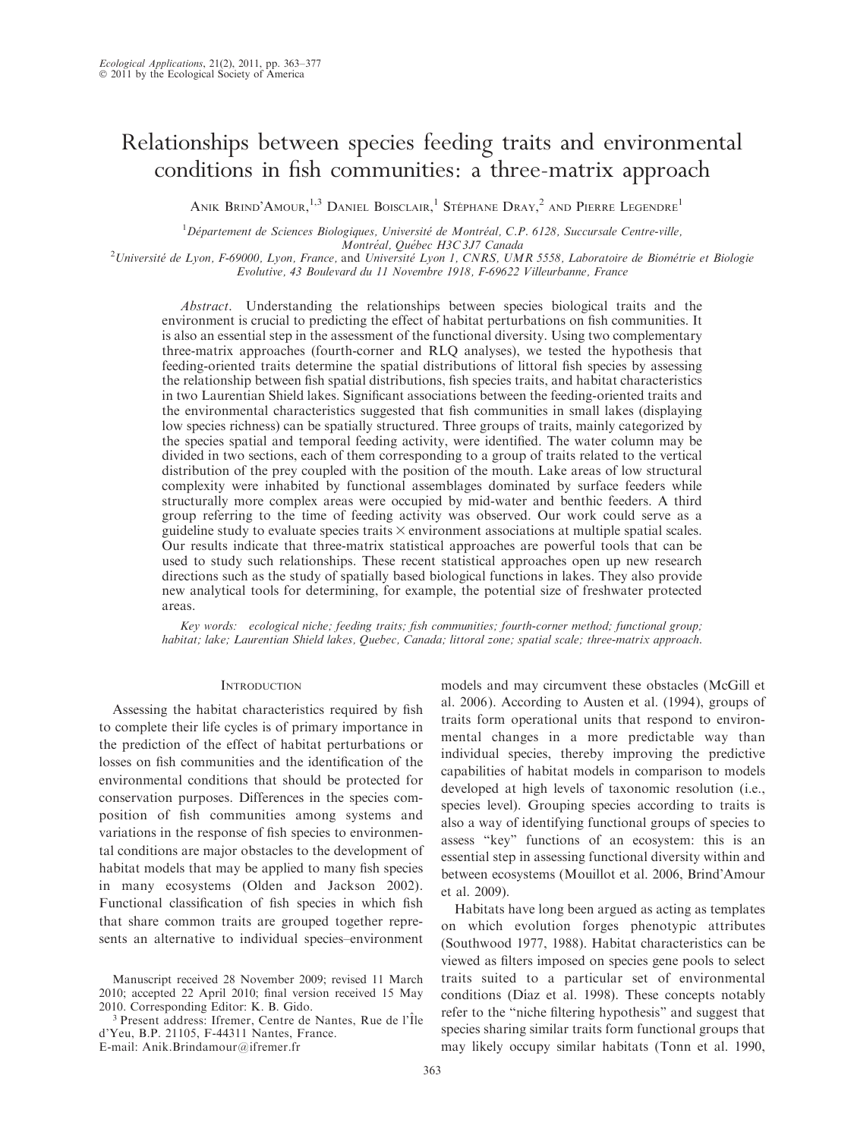# Relationships between species feeding traits and environmental conditions in fish communities: a three-matrix approach

Anik Brind'Amour, $^{1,3}$  Daniel Boisclair, $^1$  Stéphane Dray, $^2$  and Pierre Legendre $^1$ 

 ${}^{1}$ Département de Sciences Biologiques, Université de Montréal, C.P. 6128, Succursale Centre-ville, Montréal, Québec H3C 3J7 Canada<br>Université de Lyon, F-69000, Lyon, France, and Université Lyon 1, CNRS, UMR 5558, Laboratoire de Biométrie et Biologie<sup>2</sup>

Evolutive, 43 Boulevard du 11 Novembre 1918, F-69622 Villeurbanne, France

Abstract. Understanding the relationships between species biological traits and the environment is crucial to predicting the effect of habitat perturbations on fish communities. It is also an essential step in the assessment of the functional diversity. Using two complementary three-matrix approaches (fourth-corner and RLQ analyses), we tested the hypothesis that feeding-oriented traits determine the spatial distributions of littoral fish species by assessing the relationship between fish spatial distributions, fish species traits, and habitat characteristics in two Laurentian Shield lakes. Significant associations between the feeding-oriented traits and the environmental characteristics suggested that fish communities in small lakes (displaying low species richness) can be spatially structured. Three groups of traits, mainly categorized by the species spatial and temporal feeding activity, were identified. The water column may be divided in two sections, each of them corresponding to a group of traits related to the vertical distribution of the prey coupled with the position of the mouth. Lake areas of low structural complexity were inhabited by functional assemblages dominated by surface feeders while structurally more complex areas were occupied by mid-water and benthic feeders. A third group referring to the time of feeding activity was observed. Our work could serve as a guideline study to evaluate species traits  $\times$  environment associations at multiple spatial scales. Our results indicate that three-matrix statistical approaches are powerful tools that can be used to study such relationships. These recent statistical approaches open up new research directions such as the study of spatially based biological functions in lakes. They also provide new analytical tools for determining, for example, the potential size of freshwater protected areas.

Key words: ecological niche; feeding traits; fish communities; fourth-corner method; functional group; habitat; lake; Laurentian Shield lakes, Quebec, Canada; littoral zone; spatial scale; three-matrix approach.

## **INTRODUCTION**

Assessing the habitat characteristics required by fish to complete their life cycles is of primary importance in the prediction of the effect of habitat perturbations or losses on fish communities and the identification of the environmental conditions that should be protected for conservation purposes. Differences in the species composition of fish communities among systems and variations in the response of fish species to environmental conditions are major obstacles to the development of habitat models that may be applied to many fish species in many ecosystems (Olden and Jackson 2002). Functional classification of fish species in which fish that share common traits are grouped together represents an alternative to individual species–environment

E-mail: Anik.Brindamour@ifremer.fr

models and may circumvent these obstacles (McGill et al. 2006). According to Austen et al. (1994), groups of traits form operational units that respond to environmental changes in a more predictable way than individual species, thereby improving the predictive capabilities of habitat models in comparison to models developed at high levels of taxonomic resolution (i.e., species level). Grouping species according to traits is also a way of identifying functional groups of species to assess ''key'' functions of an ecosystem: this is an essential step in assessing functional diversity within and between ecosystems (Mouillot et al. 2006, Brind'Amour et al. 2009).

Habitats have long been argued as acting as templates on which evolution forges phenotypic attributes (Southwood 1977, 1988). Habitat characteristics can be viewed as filters imposed on species gene pools to select traits suited to a particular set of environmental conditions (Díaz et al. 1998). These concepts notably refer to the ''niche filtering hypothesis'' and suggest that species sharing similar traits form functional groups that may likely occupy similar habitats (Tonn et al. 1990,

Manuscript received 28 November 2009; revised 11 March 2010; accepted 22 April 2010; final version received 15 May 2010. Corresponding Editor: K. B. Gido.

<sup>&</sup>lt;sup>3</sup> Present address: Ifremer, Centre de Nantes, Rue de l'Île d'Yeu, B.P. 21105, F-44311 Nantes, France.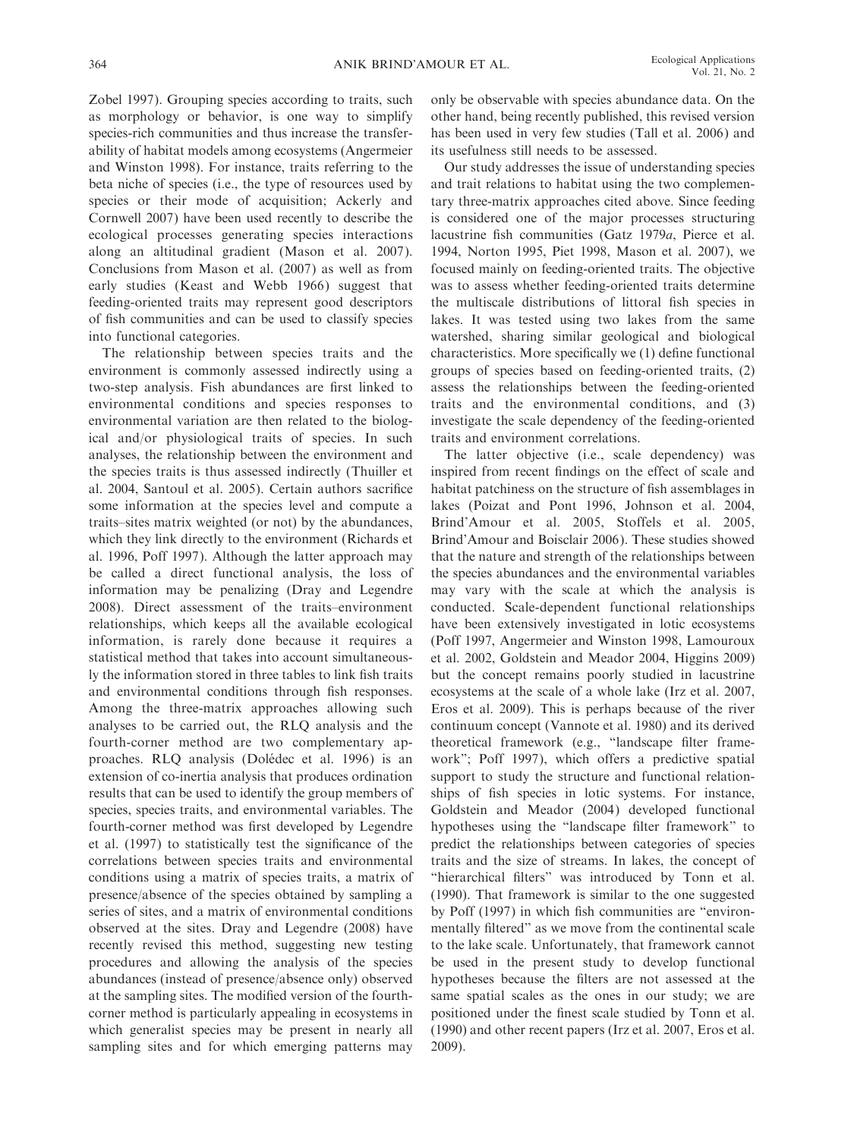Zobel 1997). Grouping species according to traits, such as morphology or behavior, is one way to simplify species-rich communities and thus increase the transferability of habitat models among ecosystems (Angermeier and Winston 1998). For instance, traits referring to the beta niche of species (i.e., the type of resources used by species or their mode of acquisition; Ackerly and Cornwell 2007) have been used recently to describe the ecological processes generating species interactions along an altitudinal gradient (Mason et al. 2007). Conclusions from Mason et al. (2007) as well as from early studies (Keast and Webb 1966) suggest that feeding-oriented traits may represent good descriptors of fish communities and can be used to classify species into functional categories.

The relationship between species traits and the environment is commonly assessed indirectly using a two-step analysis. Fish abundances are first linked to environmental conditions and species responses to environmental variation are then related to the biological and/or physiological traits of species. In such analyses, the relationship between the environment and the species traits is thus assessed indirectly (Thuiller et al. 2004, Santoul et al. 2005). Certain authors sacrifice some information at the species level and compute a traits–sites matrix weighted (or not) by the abundances, which they link directly to the environment (Richards et al. 1996, Poff 1997). Although the latter approach may be called a direct functional analysis, the loss of information may be penalizing (Dray and Legendre 2008). Direct assessment of the traits–environment relationships, which keeps all the available ecological information, is rarely done because it requires a statistical method that takes into account simultaneously the information stored in three tables to link fish traits and environmental conditions through fish responses. Among the three-matrix approaches allowing such analyses to be carried out, the RLQ analysis and the fourth-corner method are two complementary approaches. RLQ analysis (Dolédec et al. 1996) is an extension of co-inertia analysis that produces ordination results that can be used to identify the group members of species, species traits, and environmental variables. The fourth-corner method was first developed by Legendre et al. (1997) to statistically test the significance of the correlations between species traits and environmental conditions using a matrix of species traits, a matrix of presence/absence of the species obtained by sampling a series of sites, and a matrix of environmental conditions observed at the sites. Dray and Legendre (2008) have recently revised this method, suggesting new testing procedures and allowing the analysis of the species abundances (instead of presence/absence only) observed at the sampling sites. The modified version of the fourthcorner method is particularly appealing in ecosystems in which generalist species may be present in nearly all sampling sites and for which emerging patterns may

only be observable with species abundance data. On the other hand, being recently published, this revised version has been used in very few studies (Tall et al. 2006) and its usefulness still needs to be assessed.

Our study addresses the issue of understanding species and trait relations to habitat using the two complementary three-matrix approaches cited above. Since feeding is considered one of the major processes structuring lacustrine fish communities (Gatz 1979a, Pierce et al. 1994, Norton 1995, Piet 1998, Mason et al. 2007), we focused mainly on feeding-oriented traits. The objective was to assess whether feeding-oriented traits determine the multiscale distributions of littoral fish species in lakes. It was tested using two lakes from the same watershed, sharing similar geological and biological characteristics. More specifically we (1) define functional groups of species based on feeding-oriented traits, (2) assess the relationships between the feeding-oriented traits and the environmental conditions, and (3) investigate the scale dependency of the feeding-oriented traits and environment correlations.

The latter objective (i.e., scale dependency) was inspired from recent findings on the effect of scale and habitat patchiness on the structure of fish assemblages in lakes (Poizat and Pont 1996, Johnson et al. 2004, Brind'Amour et al. 2005, Stoffels et al. 2005, Brind'Amour and Boisclair 2006). These studies showed that the nature and strength of the relationships between the species abundances and the environmental variables may vary with the scale at which the analysis is conducted. Scale-dependent functional relationships have been extensively investigated in lotic ecosystems (Poff 1997, Angermeier and Winston 1998, Lamouroux et al. 2002, Goldstein and Meador 2004, Higgins 2009) but the concept remains poorly studied in lacustrine ecosystems at the scale of a whole lake (Irz et al. 2007, Eros et al. 2009). This is perhaps because of the river continuum concept (Vannote et al. 1980) and its derived theoretical framework (e.g., ''landscape filter framework''; Poff 1997), which offers a predictive spatial support to study the structure and functional relationships of fish species in lotic systems. For instance, Goldstein and Meador (2004) developed functional hypotheses using the ''landscape filter framework'' to predict the relationships between categories of species traits and the size of streams. In lakes, the concept of "hierarchical filters" was introduced by Tonn et al. (1990). That framework is similar to the one suggested by Poff (1997) in which fish communities are ''environmentally filtered'' as we move from the continental scale to the lake scale. Unfortunately, that framework cannot be used in the present study to develop functional hypotheses because the filters are not assessed at the same spatial scales as the ones in our study; we are positioned under the finest scale studied by Tonn et al. (1990) and other recent papers (Irz et al. 2007, Eros et al. 2009).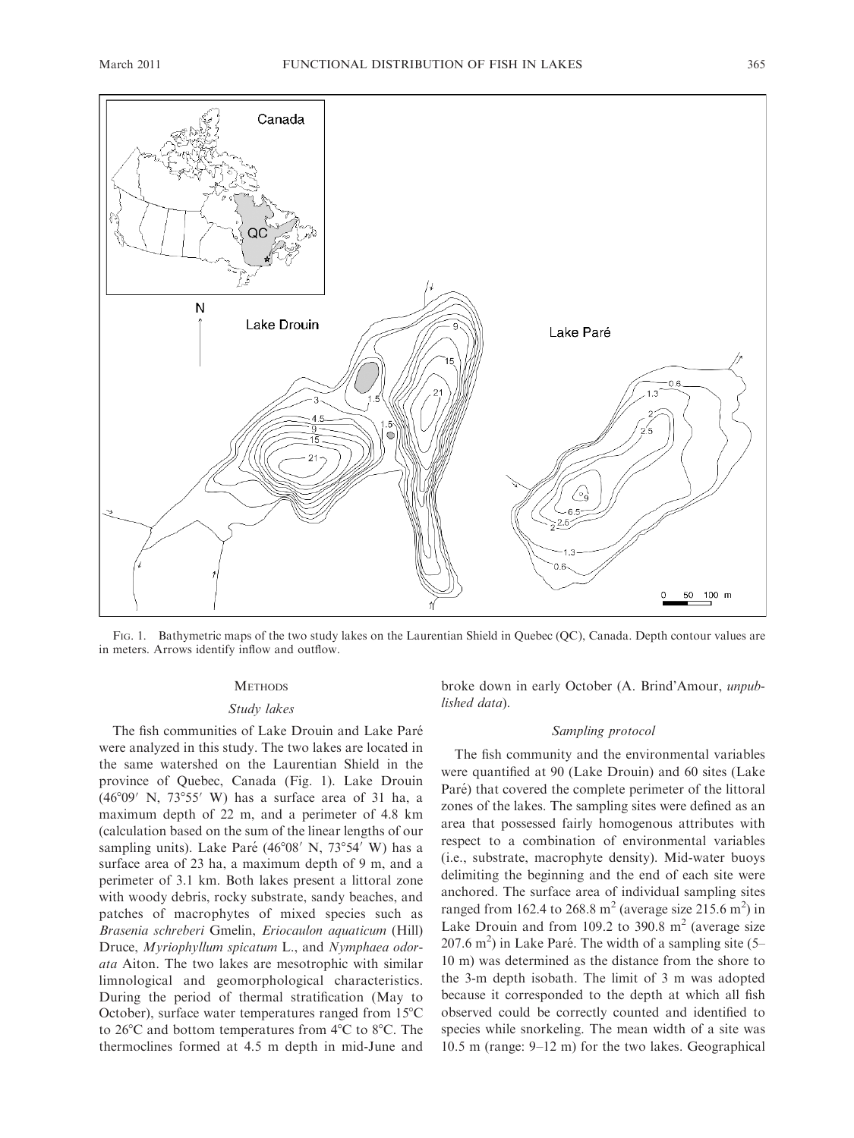

FIG. 1. Bathymetric maps of the two study lakes on the Laurentian Shield in Quebec (QC), Canada. Depth contour values are in meters. Arrows identify inflow and outflow.

## **METHODS**

#### Study lakes

The fish communities of Lake Drouin and Lake Paré were analyzed in this study. The two lakes are located in the same watershed on the Laurentian Shield in the province of Quebec, Canada (Fig. 1). Lake Drouin (46°09′ N, 73°55′ W) has a surface area of 31 ha, a maximum depth of 22 m, and a perimeter of 4.8 km (calculation based on the sum of the linear lengths of our sampling units). Lake Paré  $(46°08' \text{ N}, 73°54' \text{ W})$  has a surface area of 23 ha, a maximum depth of 9 m, and a perimeter of 3.1 km. Both lakes present a littoral zone with woody debris, rocky substrate, sandy beaches, and patches of macrophytes of mixed species such as Brasenia schreberi Gmelin, Eriocaulon aquaticum (Hill) Druce, Myriophyllum spicatum L., and Nymphaea odorata Aiton. The two lakes are mesotrophic with similar limnological and geomorphological characteristics. During the period of thermal stratification (May to October), surface water temperatures ranged from  $15^{\circ}$ C to  $26^{\circ}$ C and bottom temperatures from  $4^{\circ}$ C to  $8^{\circ}$ C. The thermoclines formed at 4.5 m depth in mid-June and broke down in early October (A. Brind'Amour, unpublished data).

#### Sampling protocol

The fish community and the environmental variables were quantified at 90 (Lake Drouin) and 60 sites (Lake Paré) that covered the complete perimeter of the littoral zones of the lakes. The sampling sites were defined as an area that possessed fairly homogenous attributes with respect to a combination of environmental variables (i.e., substrate, macrophyte density). Mid-water buoys delimiting the beginning and the end of each site were anchored. The surface area of individual sampling sites ranged from 162.4 to 268.8 m<sup>2</sup> (average size 215.6 m<sup>2</sup>) in Lake Drouin and from 109.2 to 390.8  $m<sup>2</sup>$  (average size  $207.6$  m<sup>2</sup>) in Lake Paré. The width of a sampling site (5– 10 m) was determined as the distance from the shore to the 3-m depth isobath. The limit of 3 m was adopted because it corresponded to the depth at which all fish observed could be correctly counted and identified to species while snorkeling. The mean width of a site was 10.5 m (range: 9–12 m) for the two lakes. Geographical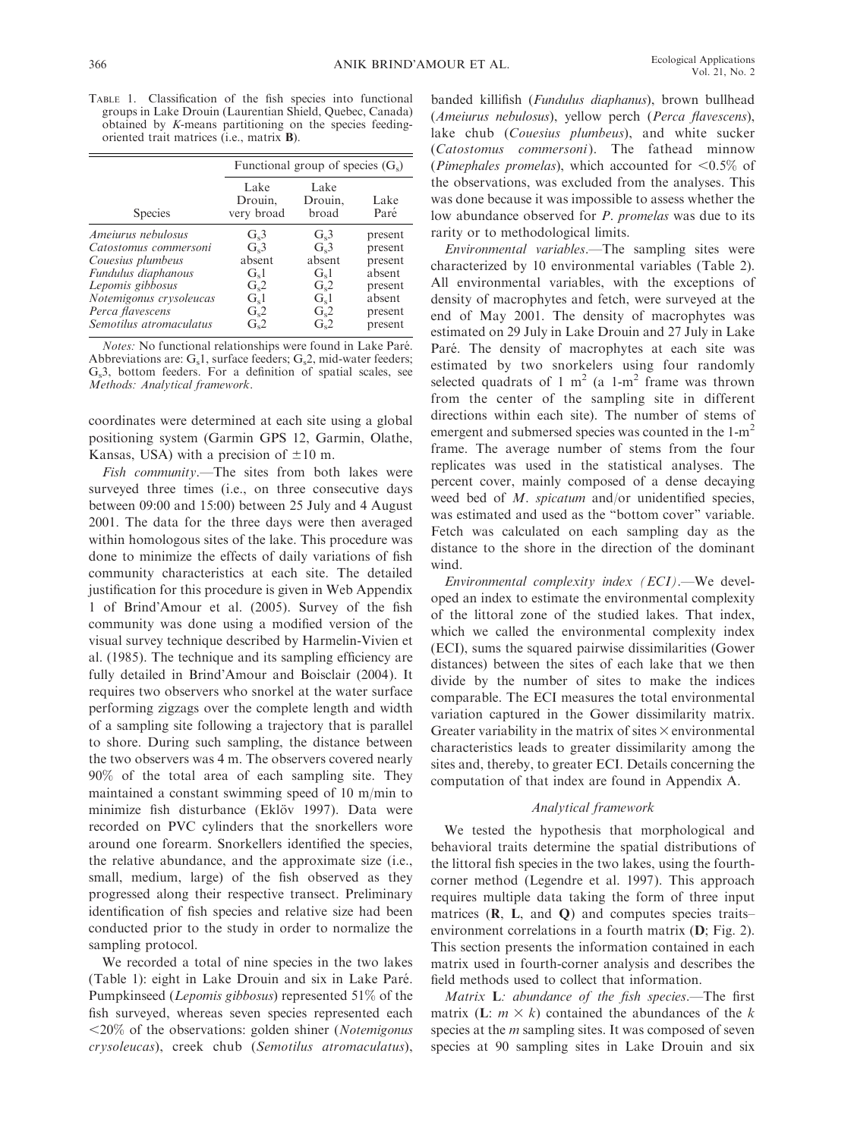|  | TABLE 1. Classification of the fish species into functional |  |  |  |  |  |
|--|-------------------------------------------------------------|--|--|--|--|--|
|  | groups in Lake Drouin (Laurentian Shield, Quebec, Canada)   |  |  |  |  |  |
|  | obtained by K-means partitioning on the species feeding-    |  |  |  |  |  |
|  | oriented trait matrices ( <i>i.e.</i> , matrix $\bf{B}$ ).  |  |  |  |  |  |

|                                                                                                                                                                                       | Functional group of species $(G_s)$                                                               |                                                                                  |                                                                                    |  |  |  |
|---------------------------------------------------------------------------------------------------------------------------------------------------------------------------------------|---------------------------------------------------------------------------------------------------|----------------------------------------------------------------------------------|------------------------------------------------------------------------------------|--|--|--|
| Species                                                                                                                                                                               | Lake<br>Drouin,<br>very broad                                                                     | Lake<br>Drouin,<br>broad                                                         | Lake<br>Paré                                                                       |  |  |  |
| Ameiurus nebulosus<br>Catostomus commersoni<br>Couesius plumbeus<br>Fundulus diaphanous<br>Lepomis gibbosus<br>Notemigonus crysoleucas<br>Perca flavescens<br>Semotilus atromaculatus | $G_s$ 3<br>G <sub>s</sub> 3<br>absent<br>$G_s1$<br>$G_s2$<br>$G_s1$<br>G <sub>s</sub> 2<br>$G_s2$ | $G_s$ 3<br>$G_s$ 3<br>absent<br>$G_s1$<br>$G_s2$<br>$G_{s}1$<br>$G_s2$<br>$G_s2$ | present<br>present<br>present<br>absent<br>present<br>absent<br>present<br>present |  |  |  |

Notes: No functional relationships were found in Lake Paré. Abbreviations are:  $G_s1$ , surface feeders;  $G_s2$ , mid-water feeders;  $G_s$ 3, bottom feeders. For a definition of spatial scales, see Methods: Analytical framework.

coordinates were determined at each site using a global positioning system (Garmin GPS 12, Garmin, Olathe, Kansas, USA) with a precision of  $\pm 10$  m.

Fish community.—The sites from both lakes were surveyed three times (i.e., on three consecutive days between 09:00 and 15:00) between 25 July and 4 August 2001. The data for the three days were then averaged within homologous sites of the lake. This procedure was done to minimize the effects of daily variations of fish community characteristics at each site. The detailed justification for this procedure is given in Web Appendix 1 of Brind'Amour et al. (2005). Survey of the fish community was done using a modified version of the visual survey technique described by Harmelin-Vivien et al. (1985). The technique and its sampling efficiency are fully detailed in Brind'Amour and Boisclair (2004). It requires two observers who snorkel at the water surface performing zigzags over the complete length and width of a sampling site following a trajectory that is parallel to shore. During such sampling, the distance between the two observers was 4 m. The observers covered nearly 90% of the total area of each sampling site. They maintained a constant swimming speed of 10 m/min to minimize fish disturbance (Eklöv 1997). Data were recorded on PVC cylinders that the snorkellers wore around one forearm. Snorkellers identified the species, the relative abundance, and the approximate size (i.e., small, medium, large) of the fish observed as they progressed along their respective transect. Preliminary identification of fish species and relative size had been conducted prior to the study in order to normalize the sampling protocol.

We recorded a total of nine species in the two lakes (Table 1): eight in Lake Drouin and six in Lake Paré. Pumpkinseed (Lepomis gibbosus) represented 51% of the fish surveyed, whereas seven species represented each  $<$ 20% of the observations: golden shiner (Notemigonus crysoleucas), creek chub (Semotilus atromaculatus),

banded killifish (Fundulus diaphanus), brown bullhead (Ameiurus nebulosus), yellow perch (Perca flavescens), lake chub (Couesius plumbeus), and white sucker (Catostomus commersoni). The fathead minnow (Pimephales promelas), which accounted for  $\langle 0.5\% \rangle$  of the observations, was excluded from the analyses. This was done because it was impossible to assess whether the low abundance observed for P. promelas was due to its rarity or to methodological limits.

Environmental variables.—The sampling sites were characterized by 10 environmental variables (Table 2). All environmental variables, with the exceptions of density of macrophytes and fetch, were surveyed at the end of May 2001. The density of macrophytes was estimated on 29 July in Lake Drouin and 27 July in Lake Paré. The density of macrophytes at each site was estimated by two snorkelers using four randomly selected quadrats of 1  $m<sup>2</sup>$  (a 1-m<sup>2</sup> frame was thrown from the center of the sampling site in different directions within each site). The number of stems of emergent and submersed species was counted in the  $1-m<sup>2</sup>$ frame. The average number of stems from the four replicates was used in the statistical analyses. The percent cover, mainly composed of a dense decaying weed bed of M. spicatum and/or unidentified species, was estimated and used as the ''bottom cover'' variable. Fetch was calculated on each sampling day as the distance to the shore in the direction of the dominant wind.

Environmental complexity index (ECI).—We developed an index to estimate the environmental complexity of the littoral zone of the studied lakes. That index, which we called the environmental complexity index (ECI), sums the squared pairwise dissimilarities (Gower distances) between the sites of each lake that we then divide by the number of sites to make the indices comparable. The ECI measures the total environmental variation captured in the Gower dissimilarity matrix. Greater variability in the matrix of sites  $\times$  environmental characteristics leads to greater dissimilarity among the sites and, thereby, to greater ECI. Details concerning the computation of that index are found in Appendix A.

#### Analytical framework

We tested the hypothesis that morphological and behavioral traits determine the spatial distributions of the littoral fish species in the two lakes, using the fourthcorner method (Legendre et al. 1997). This approach requires multiple data taking the form of three input matrices  $(R, L, and O)$  and computes species traits– environment correlations in a fourth matrix (D; Fig. 2). This section presents the information contained in each matrix used in fourth-corner analysis and describes the field methods used to collect that information.

Matrix L: abundance of the fish species.—The first matrix (L:  $m \times k$ ) contained the abundances of the k species at the *m* sampling sites. It was composed of seven species at 90 sampling sites in Lake Drouin and six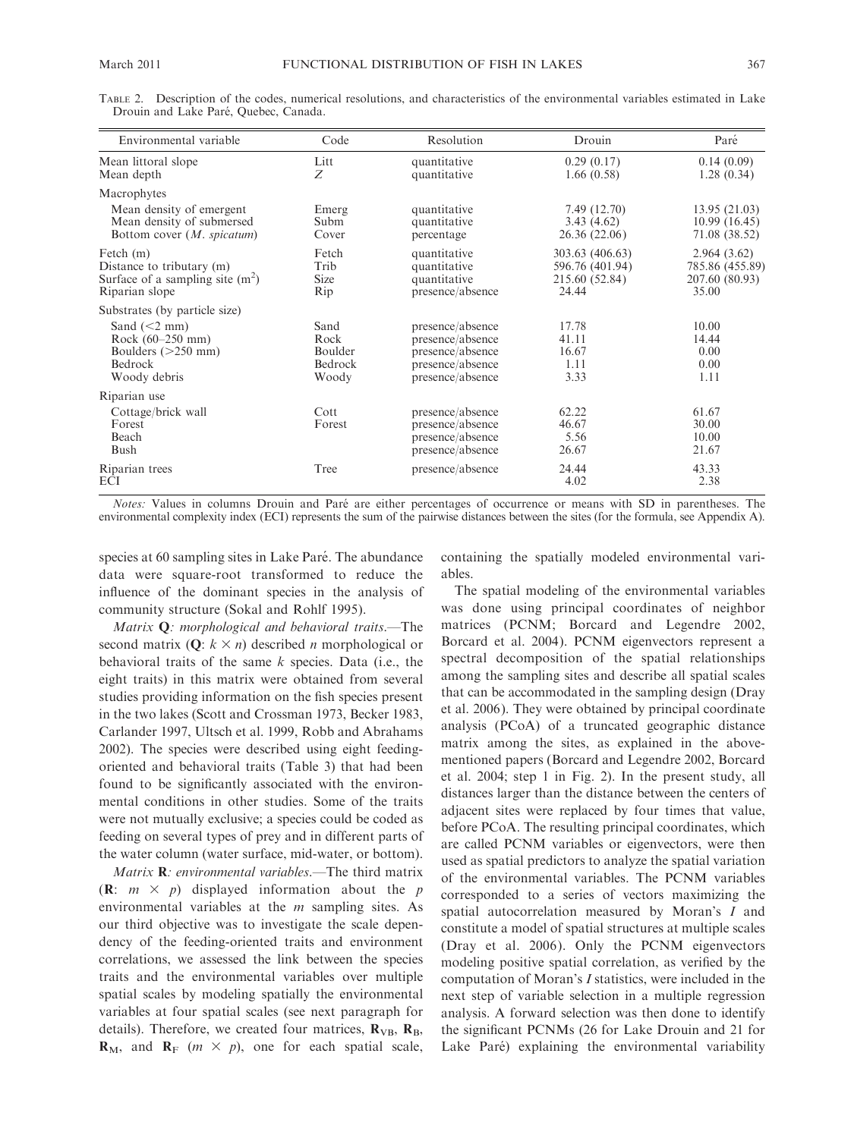TABLE 2. Description of the codes, numerical resolutions, and characteristics of the environmental variables estimated in Lake Drouin and Lake Paré, Quebec, Canada.

| Environmental variable                                                                           | Code                                        | Resolution                                                                                       | Drouin                                                        | Paré                                                      |
|--------------------------------------------------------------------------------------------------|---------------------------------------------|--------------------------------------------------------------------------------------------------|---------------------------------------------------------------|-----------------------------------------------------------|
| Mean littoral slope<br>Mean depth                                                                | Litt<br>Z                                   | quantitative<br>quantitative                                                                     | 0.29(0.17)<br>1.66(0.58)                                      | 0.14(0.09)<br>1.28(0.34)                                  |
| Macrophytes                                                                                      |                                             |                                                                                                  |                                                               |                                                           |
| Mean density of emergent<br>Mean density of submersed<br>Bottom cover $(M.$ spicatum)            | Emerg<br>Subm<br>Cover                      | quantitative<br>quantitative<br>percentage                                                       | 7.49 (12.70)<br>3.43(4.62)<br>26.36 (22.06)                   | 13.95(21.03)<br>10.99(16.45)<br>71.08 (38.52)             |
| Fetch $(m)$<br>Distance to tributary (m)<br>Surface of a sampling site $(m^2)$<br>Riparian slope | Fetch<br>Trib<br>Size<br>Rip                | quantitative<br>quantitative<br>quantitative<br>presence/absence                                 | 303.63 (406.63)<br>596.76 (401.94)<br>215.60 (52.84)<br>24.44 | 2.964(3.62)<br>785.86 (455.89)<br>207.60 (80.93)<br>35.00 |
| Substrates (by particle size)                                                                    |                                             |                                                                                                  |                                                               |                                                           |
| Sand $(< 2 mm)$<br>Rock $(60-250$ mm)<br>Boulders $(>250$ mm)<br>Bedrock<br>Woody debris         | Sand<br>Rock<br>Boulder<br>Bedrock<br>Woody | presence/absence<br>presence/absence<br>presence/absence<br>presence/absence<br>presence/absence | 17.78<br>41.11<br>16.67<br>1.11<br>3.33                       | 10.00<br>14.44<br>0.00<br>0.00<br>1.11                    |
| Riparian use                                                                                     |                                             |                                                                                                  |                                                               |                                                           |
| Cottage/brick wall<br>Forest<br>Beach<br><b>Bush</b>                                             | Cott<br>Forest                              | presence/absence<br>presence/absence<br>presence/absence<br>presence/absence                     | 62.22<br>46.67<br>5.56<br>26.67                               | 61.67<br>30.00<br>10.00<br>21.67                          |
| Riparian trees<br><b>ECI</b>                                                                     | Tree                                        | presence/absence                                                                                 | 24.44<br>4.02                                                 | 43.33<br>2.38                                             |

Notes: Values in columns Drouin and Paré are either percentages of occurrence or means with SD in parentheses. The environmental complexity index (ECI) represents the sum of the pairwise distances between the sites (for the formula, see Appendix A).

species at 60 sampling sites in Lake Paré. The abundance data were square-root transformed to reduce the influence of the dominant species in the analysis of community structure (Sokal and Rohlf 1995).

Matrix  $Q$ : morphological and behavioral traits.—The second matrix  $(Q: k \times n)$  described *n* morphological or behavioral traits of the same  $k$  species. Data (i.e., the eight traits) in this matrix were obtained from several studies providing information on the fish species present in the two lakes (Scott and Crossman 1973, Becker 1983, Carlander 1997, Ultsch et al. 1999, Robb and Abrahams 2002). The species were described using eight feedingoriented and behavioral traits (Table 3) that had been found to be significantly associated with the environmental conditions in other studies. Some of the traits were not mutually exclusive; a species could be coded as feeding on several types of prey and in different parts of the water column (water surface, mid-water, or bottom).

Matrix  $\mathbf{R}$ : environmental variables.—The third matrix  $(R: m \times p)$  displayed information about the p environmental variables at the  $m$  sampling sites. As our third objective was to investigate the scale dependency of the feeding-oriented traits and environment correlations, we assessed the link between the species traits and the environmental variables over multiple spatial scales by modeling spatially the environmental variables at four spatial scales (see next paragraph for details). Therefore, we created four matrices,  $\mathbf{R}_{VB}$ ,  $\mathbf{R}_{B}$ ,  $\mathbf{R}_{\mathrm{M}}$ , and  $\mathbf{R}_{\mathrm{F}}$  (*m*  $\times$  *p*), one for each spatial scale,

containing the spatially modeled environmental variables.

The spatial modeling of the environmental variables was done using principal coordinates of neighbor matrices (PCNM; Borcard and Legendre 2002, Borcard et al. 2004). PCNM eigenvectors represent a spectral decomposition of the spatial relationships among the sampling sites and describe all spatial scales that can be accommodated in the sampling design (Dray et al. 2006). They were obtained by principal coordinate analysis (PCoA) of a truncated geographic distance matrix among the sites, as explained in the abovementioned papers (Borcard and Legendre 2002, Borcard et al. 2004; step 1 in Fig. 2). In the present study, all distances larger than the distance between the centers of adjacent sites were replaced by four times that value, before PCoA. The resulting principal coordinates, which are called PCNM variables or eigenvectors, were then used as spatial predictors to analyze the spatial variation of the environmental variables. The PCNM variables corresponded to a series of vectors maximizing the spatial autocorrelation measured by Moran's I and constitute a model of spatial structures at multiple scales (Dray et al. 2006). Only the PCNM eigenvectors modeling positive spatial correlation, as verified by the computation of Moran's I statistics, were included in the next step of variable selection in a multiple regression analysis. A forward selection was then done to identify the significant PCNMs (26 for Lake Drouin and 21 for Lake Paré) explaining the environmental variability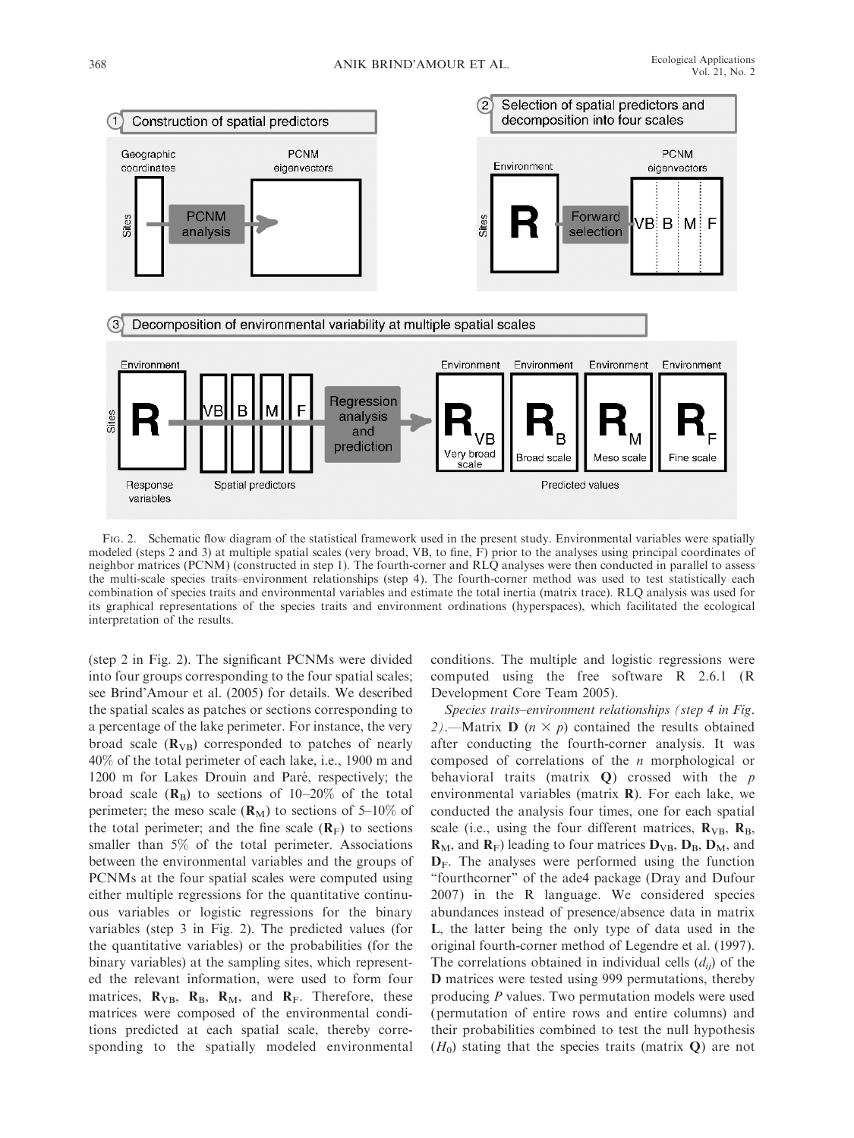

FIG. 2. Schematic flow diagram of the statistical framework used in the present study. Environmental variables were spatially modeled (steps 2 and 3) at multiple spatial scales (very broad, VB, to fine, F) prior to the analyses using principal coordinates of neighbor matrices (PCNM) (constructed in step 1). The fourth-corner and RLQ analyses were then conducted in parallel to assess the multi-scale species traits–environment relationships (step 4). The fourth-corner method was used to test statistically each combination of species traits and environmental variables and estimate the total inertia (matrix trace). RLQ analysis was used for its graphical representations of the species traits and environment ordinations (hyperspaces), which facilitated the ecological interpretation of the results.

(step 2 in Fig. 2). The significant PCNMs were divided into four groups corresponding to the four spatial scales; see Brind'Amour et al. (2005) for details. We described the spatial scales as patches or sections corresponding to a percentage of the lake perimeter. For instance, the very broad scale  $(R_{VB})$  corresponded to patches of nearly 40% of the total perimeter of each lake, i.e., 1900 m and 1200 m for Lakes Drouin and Paré, respectively; the broad scale  $(R_B)$  to sections of 10–20% of the total perimeter; the meso scale  $(\mathbf{R}_{\mathrm{M}})$  to sections of 5–10% of the total perimeter; and the fine scale  $(R_F)$  to sections smaller than 5% of the total perimeter. Associations between the environmental variables and the groups of PCNMs at the four spatial scales were computed using either multiple regressions for the quantitative continuous variables or logistic regressions for the binary variables (step 3 in Fig. 2). The predicted values (for the quantitative variables) or the probabilities (for the binary variables) at the sampling sites, which represented the relevant information, were used to form four matrices,  $\mathbf{R}_{VB}$ ,  $\mathbf{R}_{B}$ ,  $\mathbf{R}_{M}$ , and  $\mathbf{R}_{F}$ . Therefore, these matrices were composed of the environmental conditions predicted at each spatial scale, thereby corresponding to the spatially modeled environmental conditions. The multiple and logistic regressions were computed using the free software R 2.6.1 (R Development Core Team 2005).

Species traits–environment relationships (step 4 in Fig. 2).—Matrix **D** ( $n \times p$ ) contained the results obtained after conducting the fourth-corner analysis. It was composed of correlations of the  $n$  morphological or behavioral traits (matrix  $Q$ ) crossed with the  $p$ environmental variables (matrix R). For each lake, we conducted the analysis four times, one for each spatial scale (i.e., using the four different matrices,  $\mathbf{R}_{VB}$ ,  $\mathbf{R}_{B}$ ,  $\mathbf{R}_{\mathrm{M}}$ , and  $\mathbf{R}_{\mathrm{F}}$ ) leading to four matrices  $\mathbf{D}_{\mathrm{VB}}$ ,  $\mathbf{D}_{\mathrm{B}}$ ,  $\mathbf{D}_{\mathrm{M}}$ , and  $D_F$ . The analyses were performed using the function ''fourthcorner'' of the ade4 package (Dray and Dufour 2007) in the R language. We considered species abundances instead of presence/absence data in matrix L, the latter being the only type of data used in the original fourth-corner method of Legendre et al. (1997). The correlations obtained in individual cells  $(d_{ii})$  of the D matrices were tested using 999 permutations, thereby producing  $P$  values. Two permutation models were used (permutation of entire rows and entire columns) and their probabilities combined to test the null hypothesis  $(H<sub>0</sub>)$  stating that the species traits (matrix Q) are not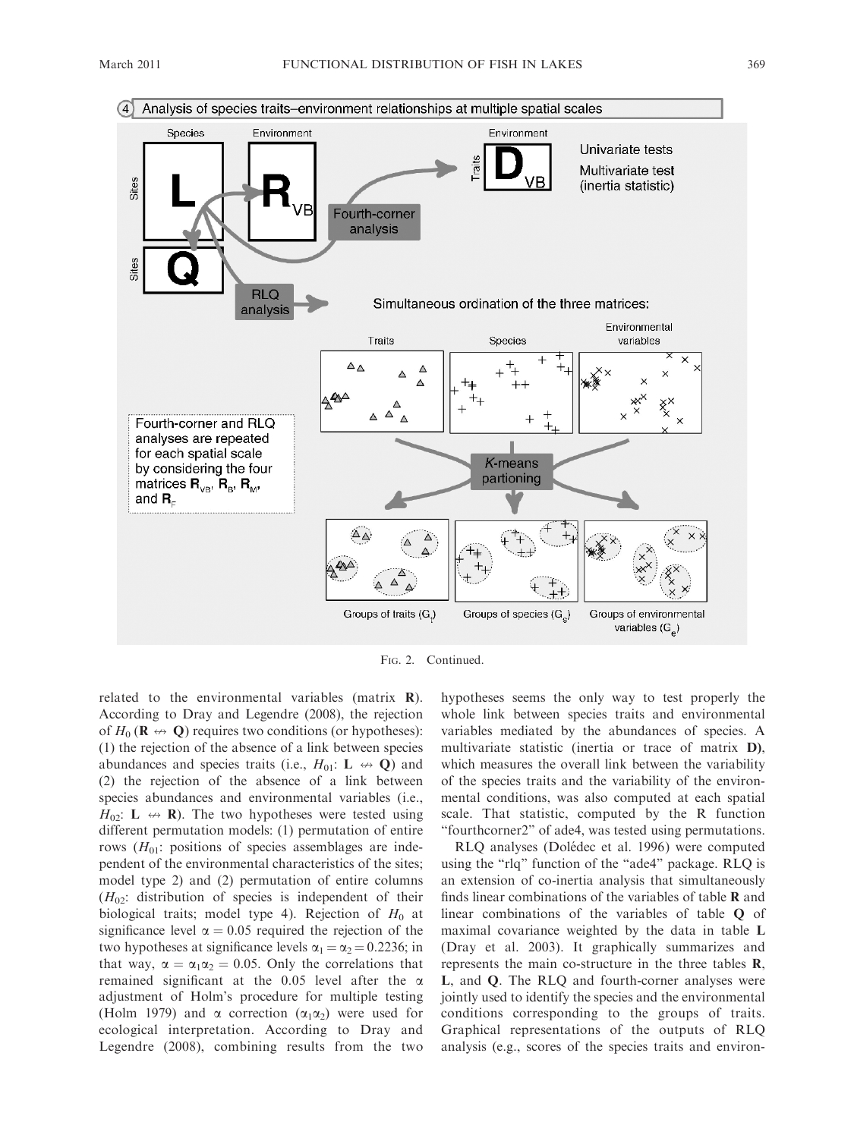

FIG. 2. Continued.

related to the environmental variables (matrix R). According to Dray and Legendre (2008), the rejection of  $H_0$  (**R**  $\leftrightarrow$  **Q**) requires two conditions (or hypotheses): (1) the rejection of the absence of a link between species abundances and species traits (i.e.,  $H_{01}$ :  $\bf{L} \leftrightarrow \bf{Q}$ ) and (2) the rejection of the absence of a link between species abundances and environmental variables (i.e.,  $H_{02}$ : **L**  $\leftrightarrow$  **R**). The two hypotheses were tested using different permutation models: (1) permutation of entire rows  $(H<sub>01</sub>:$  positions of species assemblages are independent of the environmental characteristics of the sites; model type 2) and (2) permutation of entire columns  $(H<sub>02</sub>:$  distribution of species is independent of their biological traits; model type 4). Rejection of  $H_0$  at significance level  $\alpha = 0.05$  required the rejection of the two hypotheses at significance levels  $\alpha_1 = \alpha_2 = 0.2236$ ; in that way,  $\alpha = \alpha_1 \alpha_2 = 0.05$ . Only the correlations that remained significant at the  $0.05$  level after the  $\alpha$ adjustment of Holm's procedure for multiple testing (Holm 1979) and  $\alpha$  correction ( $\alpha_1 \alpha_2$ ) were used for ecological interpretation. According to Dray and Legendre (2008), combining results from the two hypotheses seems the only way to test properly the whole link between species traits and environmental variables mediated by the abundances of species. A multivariate statistic (inertia or trace of matrix D), which measures the overall link between the variability of the species traits and the variability of the environmental conditions, was also computed at each spatial scale. That statistic, computed by the R function ''fourthcorner2'' of ade4, was tested using permutations.

RLQ analyses (Dolédec et al. 1996) were computed using the "rlq" function of the "ade4" package. RLQ is an extension of co-inertia analysis that simultaneously finds linear combinations of the variables of table R and linear combinations of the variables of table Q of maximal covariance weighted by the data in table L (Dray et al. 2003). It graphically summarizes and represents the main co-structure in the three tables R, L, and Q. The RLQ and fourth-corner analyses were jointly used to identify the species and the environmental conditions corresponding to the groups of traits. Graphical representations of the outputs of RLQ analysis (e.g., scores of the species traits and environ-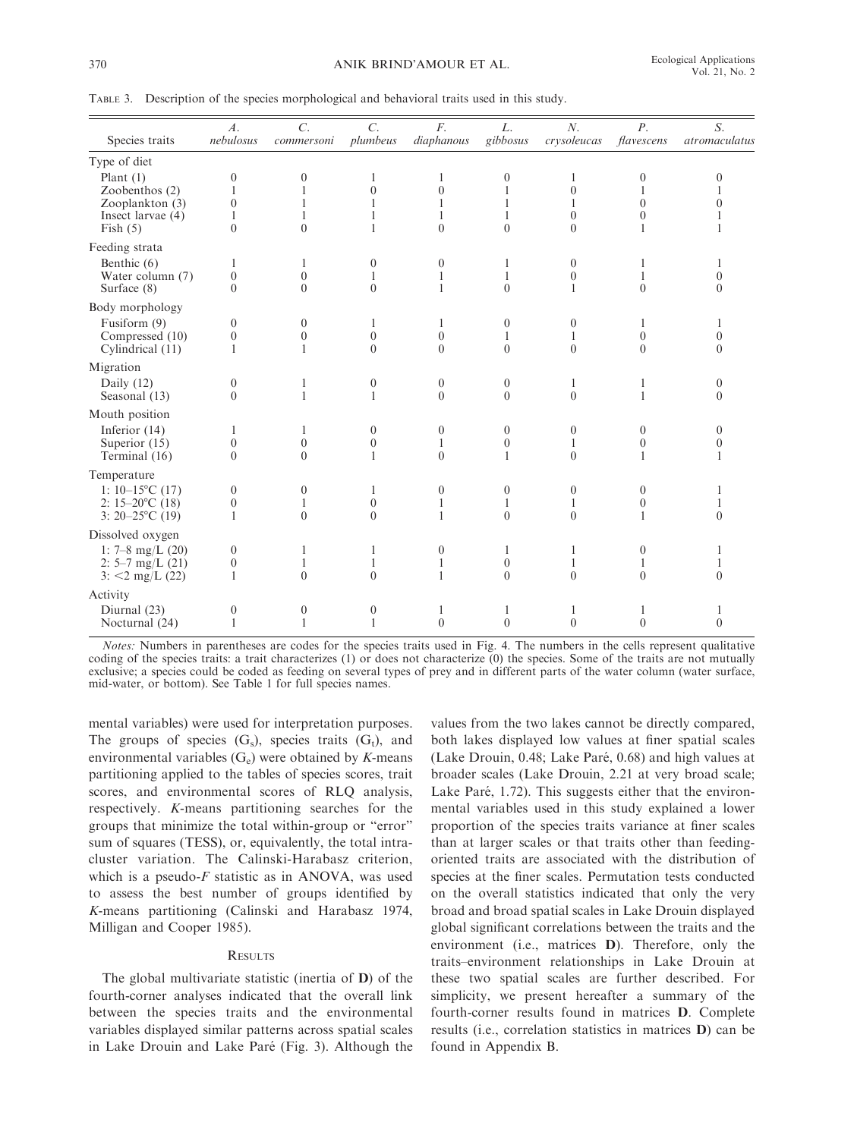TABLE 3. Description of the species morphological and behavioral traits used in this study.

| Species traits                    | $\boldsymbol{A}$ .<br>nebulosus | $\overline{C}$ .<br>commersoni | $\mathcal{C}$ .<br>plumbeus | $F$ .<br>diaphanous   | L.<br>gibbosus | $N_{\cdot}$<br>crysoleucas | $P_{\cdot}$<br>flavescens | S.<br>atromaculatus |
|-----------------------------------|---------------------------------|--------------------------------|-----------------------------|-----------------------|----------------|----------------------------|---------------------------|---------------------|
| Type of diet                      |                                 |                                |                             |                       |                |                            |                           |                     |
| Plant $(1)$                       | $\theta$                        | $\theta$                       |                             | 1                     | $\theta$       | 1                          | $\theta$                  | $\theta$            |
| Zoobenthos (2)<br>Zooplankton (3) | $\overline{0}$                  |                                | $\overline{0}$              | $\boldsymbol{0}$<br>1 |                | $\mathbf{0}$<br>1          | $\theta$                  | $\theta$            |
| Insect larvae (4)                 | 1                               |                                |                             | 1                     |                | $\theta$                   | $\theta$                  |                     |
| Fish $(5)$                        | $\overline{0}$                  | $\theta$                       | 1                           | $\theta$              | $\theta$       | $\theta$                   | 1                         | 1                   |
| Feeding strata                    |                                 |                                |                             |                       |                |                            |                           |                     |
| Benthic (6)                       | 1                               | 1                              | $\theta$                    | $\theta$              | 1              | $\theta$                   |                           |                     |
| Water column (7)                  | $\theta$                        | $\theta$                       | 1                           | 1                     | 1              | $\theta$                   |                           | $\Omega$            |
| Surface (8)                       | $\mathbf{0}$                    | $\theta$                       | $\theta$                    | $\mathbf{1}$          | $\theta$       | 1                          | $\theta$                  | $\Omega$            |
| Body morphology                   |                                 |                                |                             |                       |                |                            |                           |                     |
| Fusiform (9)                      | $\boldsymbol{0}$                | $\theta$                       | 1                           | 1                     | $\mathbf{0}$   | $\overline{0}$             |                           |                     |
| Compressed (10)                   | $\boldsymbol{0}$                | $\theta$                       | $\mathbf{0}$                | $\mathbf{0}$          | 1              | 1                          | $\mathbf{0}$              | $\theta$            |
| Cylindrical (11)                  | 1                               | 1                              | $\theta$                    | $\theta$              | $\theta$       | $\overline{0}$             | $\theta$                  | $\theta$            |
| Migration                         |                                 |                                |                             |                       |                |                            |                           |                     |
| Daily $(12)$                      | $\boldsymbol{0}$                | 1                              | 0                           | $\theta$              | $\mathbf{0}$   | 1                          |                           | $\Omega$            |
| Seasonal (13)                     | $\theta$                        | 1                              | 1                           | $\theta$              | $\theta$       | $\theta$                   | 1                         | $\Omega$            |
| Mouth position                    |                                 |                                |                             |                       |                |                            |                           |                     |
| Inferior (14)                     | 1                               | 1                              | $\theta$                    | $\overline{0}$        | $\mathbf{0}$   | $\Omega$                   | $\Omega$                  | $\Omega$            |
| Superior (15)                     | $\theta$                        | $\theta$                       | $\theta$                    | 1                     | $\mathbf{0}$   | 1                          | $\theta$                  | $\theta$            |
| Terminal (16)                     | $\theta$                        | $\theta$                       | 1                           | $\theta$              | 1              | $\theta$                   | 1                         |                     |
| Temperature                       |                                 |                                |                             |                       |                |                            |                           |                     |
| 1: $10-15\degree C$ (17)          | $\mathbf{0}$                    | $\theta$                       | 1                           | $\theta$              | $\mathbf{0}$   | $\overline{0}$             | $\theta$                  |                     |
| 2: $15-20$ °C (18)                | $\boldsymbol{0}$                | 1                              | $\mathbf{0}$                | 1                     | 1              | 1                          | $\boldsymbol{0}$          |                     |
| 3: $20-25$ °C (19)                | $\mathbf{1}$                    | $\theta$                       | $\theta$                    | 1                     | $\theta$       | $\overline{0}$             | 1                         | $\theta$            |
| Dissolved oxygen                  |                                 |                                |                             |                       |                |                            |                           |                     |
| 1: $7-8$ mg/L $(20)$              | $\theta$                        | 1                              |                             | $\overline{0}$        |                | 1                          | $\Omega$                  |                     |
| 2: $5-7$ mg/L $(21)$              | $\boldsymbol{0}$                | 1                              | 1                           | 1                     | $\theta$       | 1                          |                           |                     |
| $3: \langle 2 \text{ mg/L } (22)$ | 1                               | $\theta$                       | $\theta$                    | 1                     | $\Omega$       | $\theta$                   | $\theta$                  | $\Omega$            |
| Activity                          |                                 |                                |                             |                       |                |                            |                           |                     |
| Diurnal (23)                      | 0                               | $\boldsymbol{0}$               | 0                           | 1                     | 1              | 1                          |                           |                     |
| Nocturnal (24)                    | $\mathbf{1}$                    | 1                              | 1                           | $\theta$              | $\theta$       | $\theta$                   | $\theta$                  | $\theta$            |

Notes: Numbers in parentheses are codes for the species traits used in Fig. 4. The numbers in the cells represent qualitative coding of the species traits: a trait characterizes (1) or does not characterize (0) the species. Some of the traits are not mutually exclusive; a species could be coded as feeding on several types of prey and in different parts of the water column (water surface, mid-water, or bottom). See Table 1 for full species names.

mental variables) were used for interpretation purposes. The groups of species  $(G_s)$ , species traits  $(G_t)$ , and environmental variables  $(G_e)$  were obtained by K-means partitioning applied to the tables of species scores, trait scores, and environmental scores of RLQ analysis, respectively. K-means partitioning searches for the groups that minimize the total within-group or ''error'' sum of squares (TESS), or, equivalently, the total intracluster variation. The Calinski-Harabasz criterion, which is a pseudo- $F$  statistic as in ANOVA, was used to assess the best number of groups identified by K-means partitioning (Calinski and Harabasz 1974, Milligan and Cooper 1985).

#### **RESULTS**

The global multivariate statistic (inertia of D) of the fourth-corner analyses indicated that the overall link between the species traits and the environmental variables displayed similar patterns across spatial scales in Lake Drouin and Lake Paré (Fig. 3). Although the values from the two lakes cannot be directly compared, both lakes displayed low values at finer spatial scales (Lake Drouin, 0.48; Lake Paré, 0.68) and high values at broader scales (Lake Drouin, 2.21 at very broad scale; Lake Paré, 1.72). This suggests either that the environmental variables used in this study explained a lower proportion of the species traits variance at finer scales than at larger scales or that traits other than feedingoriented traits are associated with the distribution of species at the finer scales. Permutation tests conducted on the overall statistics indicated that only the very broad and broad spatial scales in Lake Drouin displayed global significant correlations between the traits and the environment (i.e., matrices D). Therefore, only the traits–environment relationships in Lake Drouin at these two spatial scales are further described. For simplicity, we present hereafter a summary of the fourth-corner results found in matrices D. Complete results (i.e., correlation statistics in matrices D) can be found in Appendix B.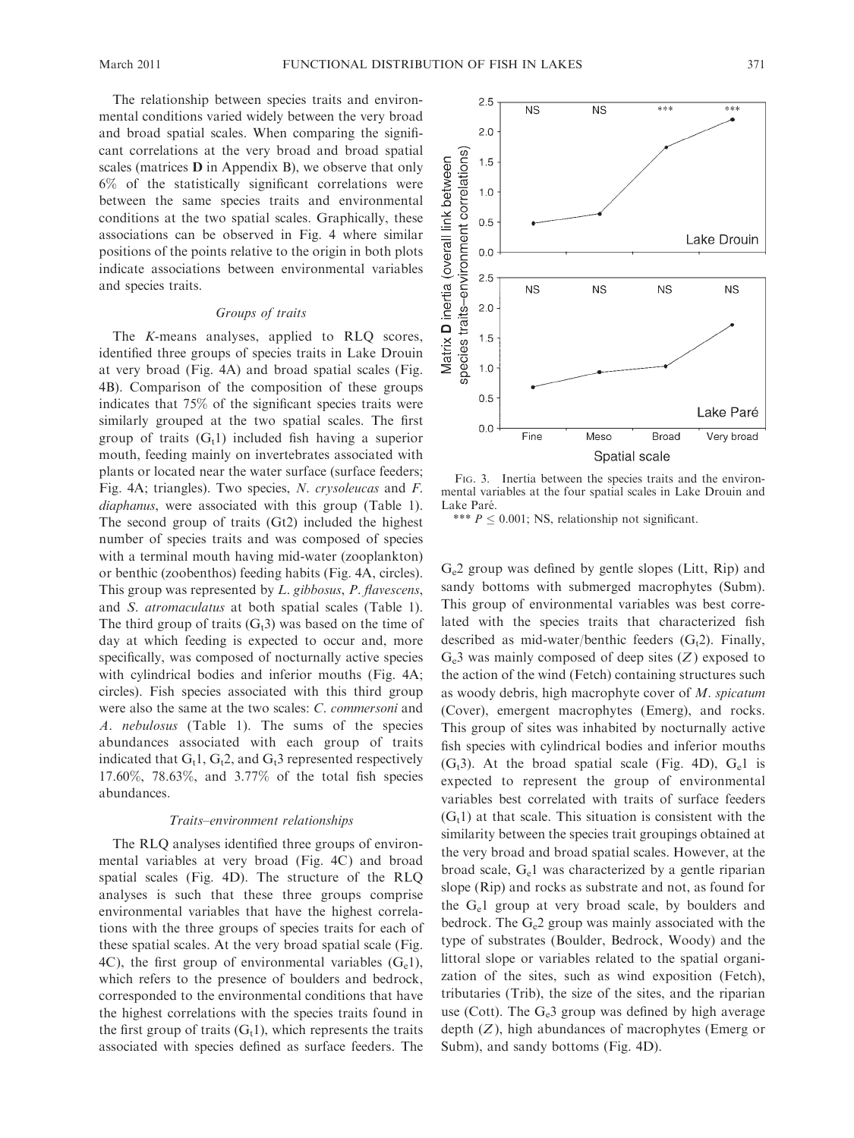The relationship between species traits and environmental conditions varied widely between the very broad and broad spatial scales. When comparing the significant correlations at the very broad and broad spatial scales (matrices D in Appendix B), we observe that only 6% of the statistically significant correlations were between the same species traits and environmental conditions at the two spatial scales. Graphically, these associations can be observed in Fig. 4 where similar positions of the points relative to the origin in both plots indicate associations between environmental variables and species traits.

#### Groups of traits

The K-means analyses, applied to RLQ scores, identified three groups of species traits in Lake Drouin at very broad (Fig. 4A) and broad spatial scales (Fig. 4B). Comparison of the composition of these groups indicates that 75% of the significant species traits were similarly grouped at the two spatial scales. The first group of traits  $(G_t)$  included fish having a superior mouth, feeding mainly on invertebrates associated with plants or located near the water surface (surface feeders; Fig. 4A; triangles). Two species, N. crysoleucas and F. diaphanus, were associated with this group (Table 1). The second group of traits (Gt2) included the highest number of species traits and was composed of species with a terminal mouth having mid-water (zooplankton) or benthic (zoobenthos) feeding habits (Fig. 4A, circles). This group was represented by L. gibbosus, P. flavescens, and S. atromaculatus at both spatial scales (Table 1). The third group of traits  $(G_t3)$  was based on the time of day at which feeding is expected to occur and, more specifically, was composed of nocturnally active species with cylindrical bodies and inferior mouths (Fig. 4A; circles). Fish species associated with this third group were also the same at the two scales: C. commersoni and A. nebulosus (Table 1). The sums of the species abundances associated with each group of traits indicated that  $G_t1$ ,  $G_t2$ , and  $G_t3$  represented respectively 17.60%, 78.63%, and 3.77% of the total fish species abundances.

## Traits–environment relationships

The RLQ analyses identified three groups of environmental variables at very broad (Fig. 4C) and broad spatial scales (Fig. 4D). The structure of the RLQ analyses is such that these three groups comprise environmental variables that have the highest correlations with the three groups of species traits for each of these spatial scales. At the very broad spatial scale (Fig. 4C), the first group of environmental variables  $(G<sub>e</sub>1)$ , which refers to the presence of boulders and bedrock, corresponded to the environmental conditions that have the highest correlations with the species traits found in the first group of traits  $(G_t)$ , which represents the traits associated with species defined as surface feeders. The



FIG. 3. Inertia between the species traits and the environmental variables at the four spatial scales in Lake Drouin and Lake Paré.

\*\*\*  $P \leq 0.001$ ; NS, relationship not significant.

 $G_e$ 2 group was defined by gentle slopes (Litt, Rip) and sandy bottoms with submerged macrophytes (Subm). This group of environmental variables was best correlated with the species traits that characterized fish described as mid-water/benthic feeders  $(G<sub>t</sub>2)$ . Finally,  $G_e$ 3 was mainly composed of deep sites  $(Z)$  exposed to the action of the wind (Fetch) containing structures such as woody debris, high macrophyte cover of M. spicatum (Cover), emergent macrophytes (Emerg), and rocks. This group of sites was inhabited by nocturnally active fish species with cylindrical bodies and inferior mouths  $(G_t3)$ . At the broad spatial scale (Fig. 4D),  $G_e1$  is expected to represent the group of environmental variables best correlated with traits of surface feeders  $(G<sub>t</sub>1)$  at that scale. This situation is consistent with the similarity between the species trait groupings obtained at the very broad and broad spatial scales. However, at the broad scale, Ge1 was characterized by a gentle riparian slope (Rip) and rocks as substrate and not, as found for the Ge1 group at very broad scale, by boulders and bedrock. The G<sub>e</sub>2 group was mainly associated with the type of substrates (Boulder, Bedrock, Woody) and the littoral slope or variables related to the spatial organization of the sites, such as wind exposition (Fetch), tributaries (Trib), the size of the sites, and the riparian use (Cott). The  $G_e$ 3 group was defined by high average depth  $(Z)$ , high abundances of macrophytes (Emerg or Subm), and sandy bottoms (Fig. 4D).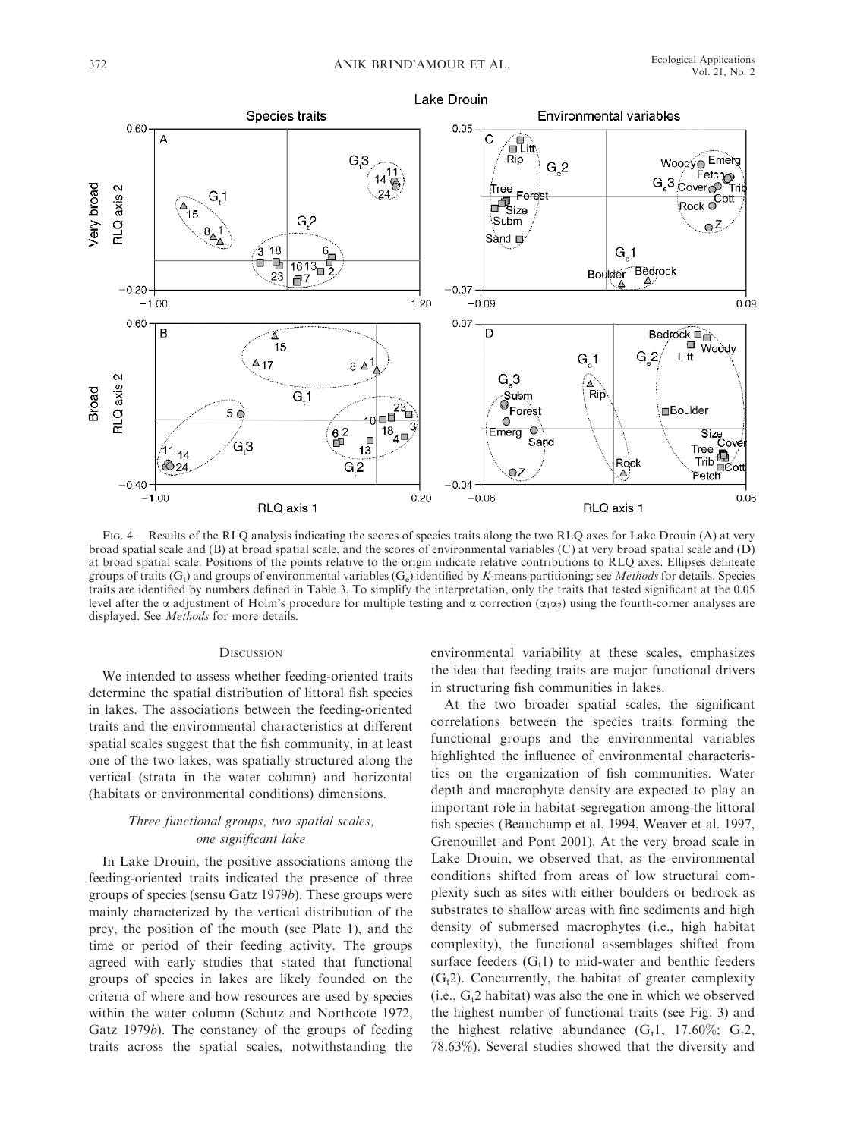

FIG. 4. Results of the RLQ analysis indicating the scores of species traits along the two RLQ axes for Lake Drouin (A) at very broad spatial scale and (B) at broad spatial scale, and the scores of environmental variables (C) at very broad spatial scale and (D) at broad spatial scale. Positions of the points relative to the origin indicate relative contributions to RLQ axes. Ellipses delineate groups of traits  $(G_t)$  and groups of environmental variables  $(G_e)$  identified by K-means partitioning; see Methods for details. Species traits are identified by numbers defined in Table 3. To simplify the interpretation, only the traits that tested significant at the 0.05 level after the  $\alpha$  adjustment of Holm's procedure for multiple testing and  $\alpha$  correction ( $\alpha_1\alpha_2$ ) using the fourth-corner analyses are displayed. See Methods for more details.

## **DISCUSSION**

We intended to assess whether feeding-oriented traits determine the spatial distribution of littoral fish species in lakes. The associations between the feeding-oriented traits and the environmental characteristics at different spatial scales suggest that the fish community, in at least one of the two lakes, was spatially structured along the vertical (strata in the water column) and horizontal (habitats or environmental conditions) dimensions.

# Three functional groups, two spatial scales, one significant lake

In Lake Drouin, the positive associations among the feeding-oriented traits indicated the presence of three groups of species (sensu Gatz 1979b). These groups were mainly characterized by the vertical distribution of the prey, the position of the mouth (see Plate 1), and the time or period of their feeding activity. The groups agreed with early studies that stated that functional groups of species in lakes are likely founded on the criteria of where and how resources are used by species within the water column (Schutz and Northcote 1972, Gatz 1979b). The constancy of the groups of feeding traits across the spatial scales, notwithstanding the environmental variability at these scales, emphasizes the idea that feeding traits are major functional drivers in structuring fish communities in lakes.

At the two broader spatial scales, the significant correlations between the species traits forming the functional groups and the environmental variables highlighted the influence of environmental characteristics on the organization of fish communities. Water depth and macrophyte density are expected to play an important role in habitat segregation among the littoral fish species (Beauchamp et al. 1994, Weaver et al. 1997, Grenouillet and Pont 2001). At the very broad scale in Lake Drouin, we observed that, as the environmental conditions shifted from areas of low structural complexity such as sites with either boulders or bedrock as substrates to shallow areas with fine sediments and high density of submersed macrophytes (i.e., high habitat complexity), the functional assemblages shifted from surface feeders  $(G_t)$  to mid-water and benthic feeders  $(G<sub>t</sub>2)$ . Concurrently, the habitat of greater complexity (i.e.,  $G_1$ 2 habitat) was also the one in which we observed the highest number of functional traits (see Fig. 3) and the highest relative abundance  $(G_t1, 17.60\%; G_t2,$ 78.63%). Several studies showed that the diversity and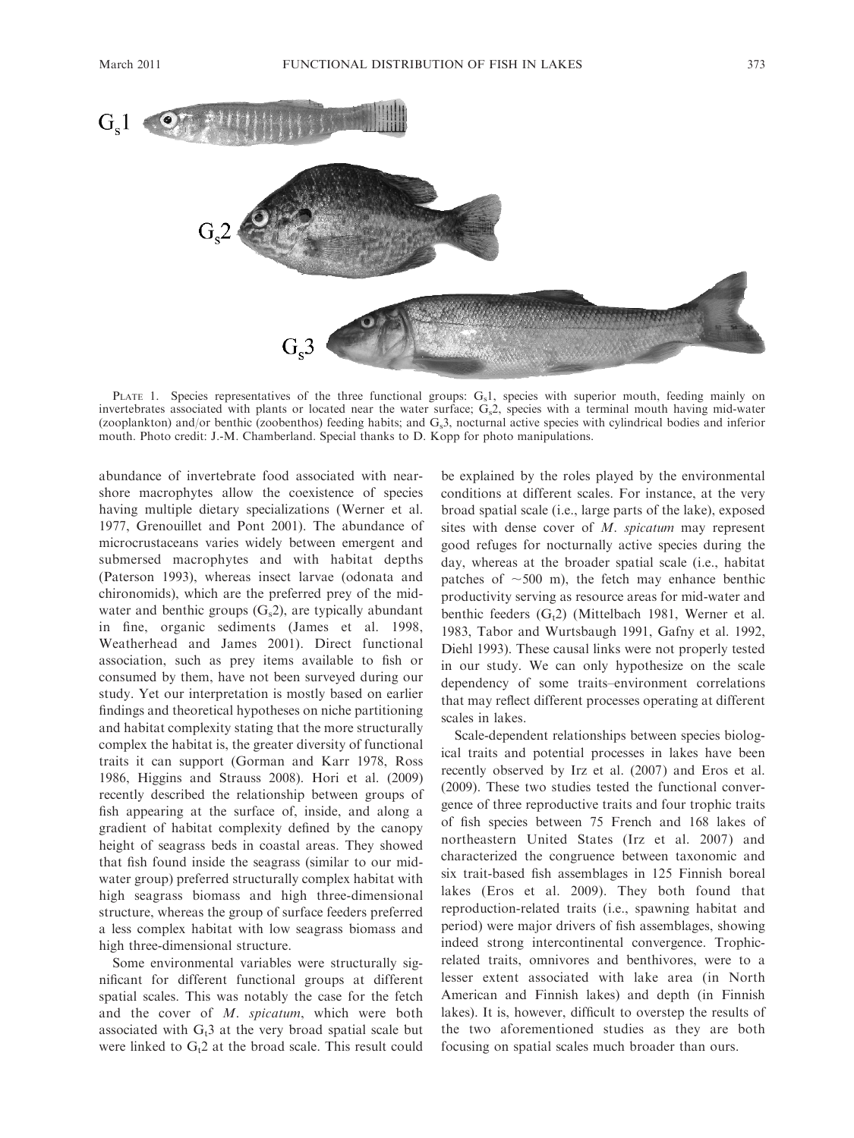

PLATE 1. Species representatives of the three functional groups: G<sub>s</sub>1, species with superior mouth, feeding mainly on invertebrates associated with plants or located near the water surface;  $G<sub>s</sub>2$ , species with a terminal mouth having mid-water (zooplankton) and/or benthic (zoobenthos) feeding habits; and Gs3, nocturnal active species with cylindrical bodies and inferior mouth. Photo credit: J.-M. Chamberland. Special thanks to D. Kopp for photo manipulations.

abundance of invertebrate food associated with nearshore macrophytes allow the coexistence of species having multiple dietary specializations (Werner et al. 1977, Grenouillet and Pont 2001). The abundance of microcrustaceans varies widely between emergent and submersed macrophytes and with habitat depths (Paterson 1993), whereas insect larvae (odonata and chironomids), which are the preferred prey of the midwater and benthic groups  $(G_s2)$ , are typically abundant in fine, organic sediments (James et al. 1998, Weatherhead and James 2001). Direct functional association, such as prey items available to fish or consumed by them, have not been surveyed during our study. Yet our interpretation is mostly based on earlier findings and theoretical hypotheses on niche partitioning and habitat complexity stating that the more structurally complex the habitat is, the greater diversity of functional traits it can support (Gorman and Karr 1978, Ross 1986, Higgins and Strauss 2008). Hori et al. (2009) recently described the relationship between groups of fish appearing at the surface of, inside, and along a gradient of habitat complexity defined by the canopy height of seagrass beds in coastal areas. They showed that fish found inside the seagrass (similar to our midwater group) preferred structurally complex habitat with high seagrass biomass and high three-dimensional structure, whereas the group of surface feeders preferred a less complex habitat with low seagrass biomass and high three-dimensional structure.

Some environmental variables were structurally significant for different functional groups at different spatial scales. This was notably the case for the fetch and the cover of  $M$ . spicatum, which were both associated with  $G<sub>t</sub>3$  at the very broad spatial scale but were linked to  $G_t$ 2 at the broad scale. This result could be explained by the roles played by the environmental conditions at different scales. For instance, at the very broad spatial scale (i.e., large parts of the lake), exposed sites with dense cover of M. spicatum may represent good refuges for nocturnally active species during the day, whereas at the broader spatial scale (i.e., habitat patches of  $\sim$ 500 m), the fetch may enhance benthic productivity serving as resource areas for mid-water and benthic feeders  $(G<sub>t</sub>2)$  (Mittelbach 1981, Werner et al. 1983, Tabor and Wurtsbaugh 1991, Gafny et al. 1992, Diehl 1993). These causal links were not properly tested in our study. We can only hypothesize on the scale dependency of some traits–environment correlations that may reflect different processes operating at different scales in lakes.

Scale-dependent relationships between species biological traits and potential processes in lakes have been recently observed by Irz et al. (2007) and Eros et al. (2009). These two studies tested the functional convergence of three reproductive traits and four trophic traits of fish species between 75 French and 168 lakes of northeastern United States (Irz et al. 2007) and characterized the congruence between taxonomic and six trait-based fish assemblages in 125 Finnish boreal lakes (Eros et al. 2009). They both found that reproduction-related traits (i.e., spawning habitat and period) were major drivers of fish assemblages, showing indeed strong intercontinental convergence. Trophicrelated traits, omnivores and benthivores, were to a lesser extent associated with lake area (in North American and Finnish lakes) and depth (in Finnish lakes). It is, however, difficult to overstep the results of the two aforementioned studies as they are both focusing on spatial scales much broader than ours.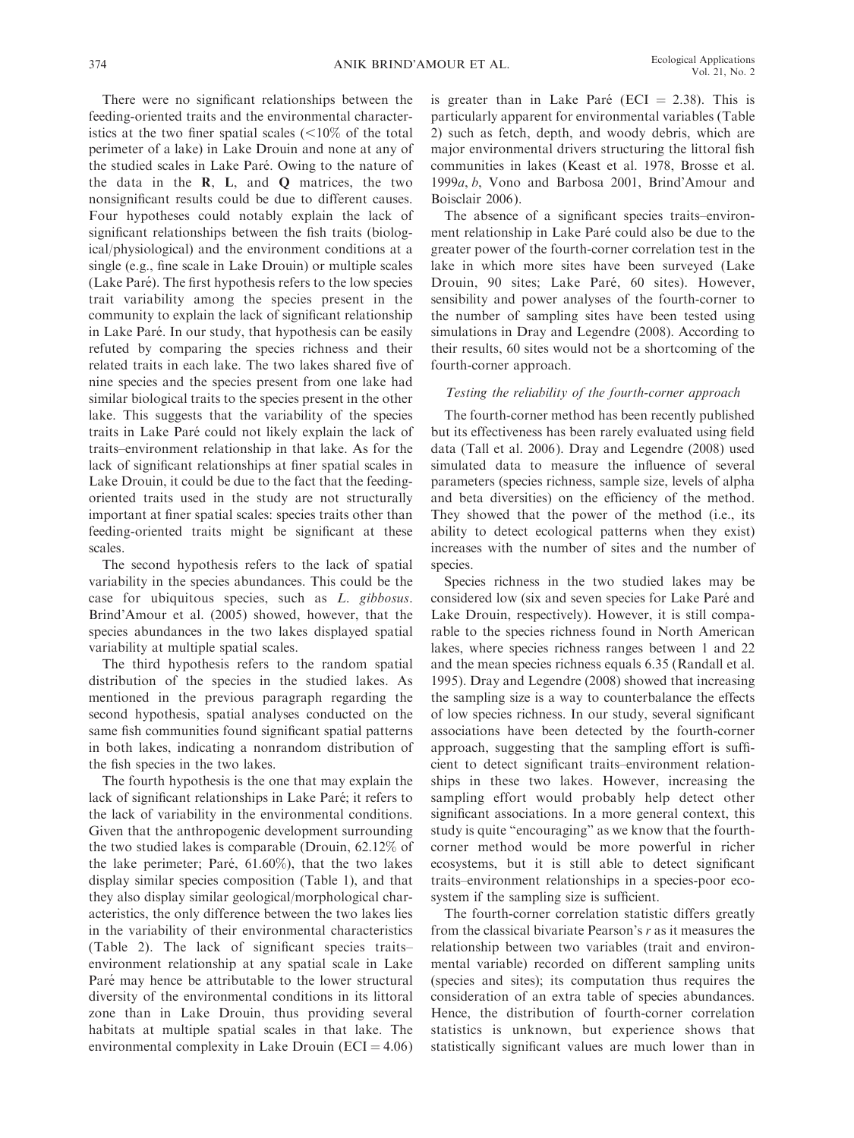There were no significant relationships between the feeding-oriented traits and the environmental characteristics at the two finer spatial scales  $\left($  < 10% of the total perimeter of a lake) in Lake Drouin and none at any of the studied scales in Lake Paré. Owing to the nature of the data in the  $R$ ,  $L$ , and  $Q$  matrices, the two nonsignificant results could be due to different causes. Four hypotheses could notably explain the lack of significant relationships between the fish traits (biological/physiological) and the environment conditions at a single (e.g., fine scale in Lake Drouin) or multiple scales (Lake Paré). The first hypothesis refers to the low species trait variability among the species present in the community to explain the lack of significant relationship in Lake Paré. In our study, that hypothesis can be easily refuted by comparing the species richness and their related traits in each lake. The two lakes shared five of nine species and the species present from one lake had similar biological traits to the species present in the other lake. This suggests that the variability of the species traits in Lake Paré could not likely explain the lack of traits–environment relationship in that lake. As for the lack of significant relationships at finer spatial scales in Lake Drouin, it could be due to the fact that the feedingoriented traits used in the study are not structurally important at finer spatial scales: species traits other than feeding-oriented traits might be significant at these scales.

The second hypothesis refers to the lack of spatial variability in the species abundances. This could be the case for ubiquitous species, such as L. gibbosus. Brind'Amour et al. (2005) showed, however, that the species abundances in the two lakes displayed spatial variability at multiple spatial scales.

The third hypothesis refers to the random spatial distribution of the species in the studied lakes. As mentioned in the previous paragraph regarding the second hypothesis, spatial analyses conducted on the same fish communities found significant spatial patterns in both lakes, indicating a nonrandom distribution of the fish species in the two lakes.

The fourth hypothesis is the one that may explain the lack of significant relationships in Lake Paré; it refers to the lack of variability in the environmental conditions. Given that the anthropogenic development surrounding the two studied lakes is comparable (Drouin, 62.12% of the lake perimeter; Paré,  $61.60\%$ ), that the two lakes display similar species composition (Table 1), and that they also display similar geological/morphological characteristics, the only difference between the two lakes lies in the variability of their environmental characteristics (Table 2). The lack of significant species traits– environment relationship at any spatial scale in Lake Paré may hence be attributable to the lower structural diversity of the environmental conditions in its littoral zone than in Lake Drouin, thus providing several habitats at multiple spatial scales in that lake. The environmental complexity in Lake Drouin ( $ECI = 4.06$ )

is greater than in Lake Paré (ECI  $= 2.38$ ). This is particularly apparent for environmental variables (Table 2) such as fetch, depth, and woody debris, which are major environmental drivers structuring the littoral fish communities in lakes (Keast et al. 1978, Brosse et al. 1999a, b, Vono and Barbosa 2001, Brind'Amour and Boisclair 2006).

The absence of a significant species traits–environment relationship in Lake Paré could also be due to the greater power of the fourth-corner correlation test in the lake in which more sites have been surveyed (Lake Drouin, 90 sites; Lake Paré, 60 sites). However, sensibility and power analyses of the fourth-corner to the number of sampling sites have been tested using simulations in Dray and Legendre (2008). According to their results, 60 sites would not be a shortcoming of the fourth-corner approach.

## Testing the reliability of the fourth-corner approach

The fourth-corner method has been recently published but its effectiveness has been rarely evaluated using field data (Tall et al. 2006). Dray and Legendre (2008) used simulated data to measure the influence of several parameters (species richness, sample size, levels of alpha and beta diversities) on the efficiency of the method. They showed that the power of the method (i.e., its ability to detect ecological patterns when they exist) increases with the number of sites and the number of species.

Species richness in the two studied lakes may be considered low (six and seven species for Lake Paré and Lake Drouin, respectively). However, it is still comparable to the species richness found in North American lakes, where species richness ranges between 1 and 22 and the mean species richness equals 6.35 (Randall et al. 1995). Dray and Legendre (2008) showed that increasing the sampling size is a way to counterbalance the effects of low species richness. In our study, several significant associations have been detected by the fourth-corner approach, suggesting that the sampling effort is sufficient to detect significant traits–environment relationships in these two lakes. However, increasing the sampling effort would probably help detect other significant associations. In a more general context, this study is quite "encouraging" as we know that the fourthcorner method would be more powerful in richer ecosystems, but it is still able to detect significant traits–environment relationships in a species-poor ecosystem if the sampling size is sufficient.

The fourth-corner correlation statistic differs greatly from the classical bivariate Pearson's r as it measures the relationship between two variables (trait and environmental variable) recorded on different sampling units (species and sites); its computation thus requires the consideration of an extra table of species abundances. Hence, the distribution of fourth-corner correlation statistics is unknown, but experience shows that statistically significant values are much lower than in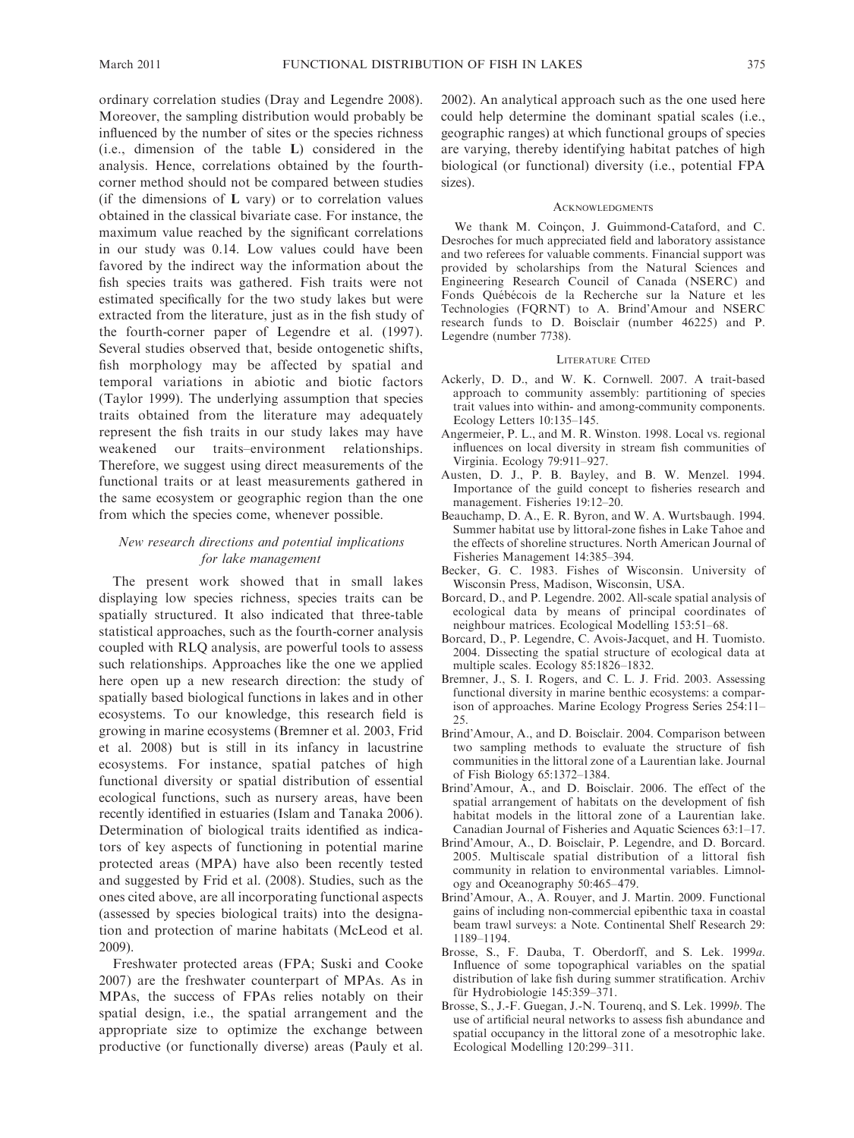ordinary correlation studies (Dray and Legendre 2008). Moreover, the sampling distribution would probably be influenced by the number of sites or the species richness (i.e., dimension of the table L) considered in the analysis. Hence, correlations obtained by the fourthcorner method should not be compared between studies (if the dimensions of  $L$  vary) or to correlation values obtained in the classical bivariate case. For instance, the maximum value reached by the significant correlations in our study was 0.14. Low values could have been favored by the indirect way the information about the fish species traits was gathered. Fish traits were not estimated specifically for the two study lakes but were extracted from the literature, just as in the fish study of the fourth-corner paper of Legendre et al. (1997). Several studies observed that, beside ontogenetic shifts, fish morphology may be affected by spatial and temporal variations in abiotic and biotic factors (Taylor 1999). The underlying assumption that species traits obtained from the literature may adequately represent the fish traits in our study lakes may have weakened our traits–environment relationships. Therefore, we suggest using direct measurements of the functional traits or at least measurements gathered in the same ecosystem or geographic region than the one from which the species come, whenever possible.

# New research directions and potential implications for lake management

The present work showed that in small lakes displaying low species richness, species traits can be spatially structured. It also indicated that three-table statistical approaches, such as the fourth-corner analysis coupled with RLQ analysis, are powerful tools to assess such relationships. Approaches like the one we applied here open up a new research direction: the study of spatially based biological functions in lakes and in other ecosystems. To our knowledge, this research field is growing in marine ecosystems (Bremner et al. 2003, Frid et al. 2008) but is still in its infancy in lacustrine ecosystems. For instance, spatial patches of high functional diversity or spatial distribution of essential ecological functions, such as nursery areas, have been recently identified in estuaries (Islam and Tanaka 2006). Determination of biological traits identified as indicators of key aspects of functioning in potential marine protected areas (MPA) have also been recently tested and suggested by Frid et al. (2008). Studies, such as the ones cited above, are all incorporating functional aspects (assessed by species biological traits) into the designation and protection of marine habitats (McLeod et al. 2009).

Freshwater protected areas (FPA; Suski and Cooke 2007) are the freshwater counterpart of MPAs. As in MPAs, the success of FPAs relies notably on their spatial design, i.e., the spatial arrangement and the appropriate size to optimize the exchange between productive (or functionally diverse) areas (Pauly et al. 2002). An analytical approach such as the one used here could help determine the dominant spatial scales (i.e., geographic ranges) at which functional groups of species are varying, thereby identifying habitat patches of high biological (or functional) diversity (i.e., potential FPA sizes).

#### **ACKNOWLEDGMENTS**

We thank M. Coinçon, J. Guimmond-Cataford, and C. Desroches for much appreciated field and laboratory assistance and two referees for valuable comments. Financial support was provided by scholarships from the Natural Sciences and Engineering Research Council of Canada (NSERC) and Fonds Québécois de la Recherche sur la Nature et les Technologies (FQRNT) to A. Brind'Amour and NSERC research funds to D. Boisclair (number 46225) and P. Legendre (number 7738).

#### LITERATURE CITED

- Ackerly, D. D., and W. K. Cornwell. 2007. A trait-based approach to community assembly: partitioning of species trait values into within- and among-community components. Ecology Letters 10:135–145.
- Angermeier, P. L., and M. R. Winston. 1998. Local vs. regional influences on local diversity in stream fish communities of Virginia. Ecology 79:911–927.
- Austen, D. J., P. B. Bayley, and B. W. Menzel. 1994. Importance of the guild concept to fisheries research and management. Fisheries 19:12–20.
- Beauchamp, D. A., E. R. Byron, and W. A. Wurtsbaugh. 1994. Summer habitat use by littoral-zone fishes in Lake Tahoe and the effects of shoreline structures. North American Journal of Fisheries Management 14:385–394.
- Becker, G. C. 1983. Fishes of Wisconsin. University of Wisconsin Press, Madison, Wisconsin, USA.
- Borcard, D., and P. Legendre. 2002. All-scale spatial analysis of ecological data by means of principal coordinates of neighbour matrices. Ecological Modelling 153:51–68.
- Borcard, D., P. Legendre, C. Avois-Jacquet, and H. Tuomisto. 2004. Dissecting the spatial structure of ecological data at multiple scales. Ecology 85:1826–1832.
- Bremner, J., S. I. Rogers, and C. L. J. Frid. 2003. Assessing functional diversity in marine benthic ecosystems: a comparison of approaches. Marine Ecology Progress Series 254:11– 25.
- Brind'Amour, A., and D. Boisclair. 2004. Comparison between two sampling methods to evaluate the structure of fish communities in the littoral zone of a Laurentian lake. Journal of Fish Biology 65:1372–1384.
- Brind'Amour, A., and D. Boisclair. 2006. The effect of the spatial arrangement of habitats on the development of fish habitat models in the littoral zone of a Laurentian lake. Canadian Journal of Fisheries and Aquatic Sciences 63:1–17.
- Brind'Amour, A., D. Boisclair, P. Legendre, and D. Borcard. 2005. Multiscale spatial distribution of a littoral fish community in relation to environmental variables. Limnology and Oceanography 50:465–479.
- Brind'Amour, A., A. Rouyer, and J. Martin. 2009. Functional gains of including non-commercial epibenthic taxa in coastal beam trawl surveys: a Note. Continental Shelf Research 29: 1189–1194.
- Brosse, S., F. Dauba, T. Oberdorff, and S. Lek. 1999a. Influence of some topographical variables on the spatial distribution of lake fish during summer stratification. Archiv für Hydrobiologie 145:359-371.
- Brosse, S., J.-F. Guegan, J.-N. Tourenq, and S. Lek. 1999b. The use of artificial neural networks to assess fish abundance and spatial occupancy in the littoral zone of a mesotrophic lake. Ecological Modelling 120:299–311.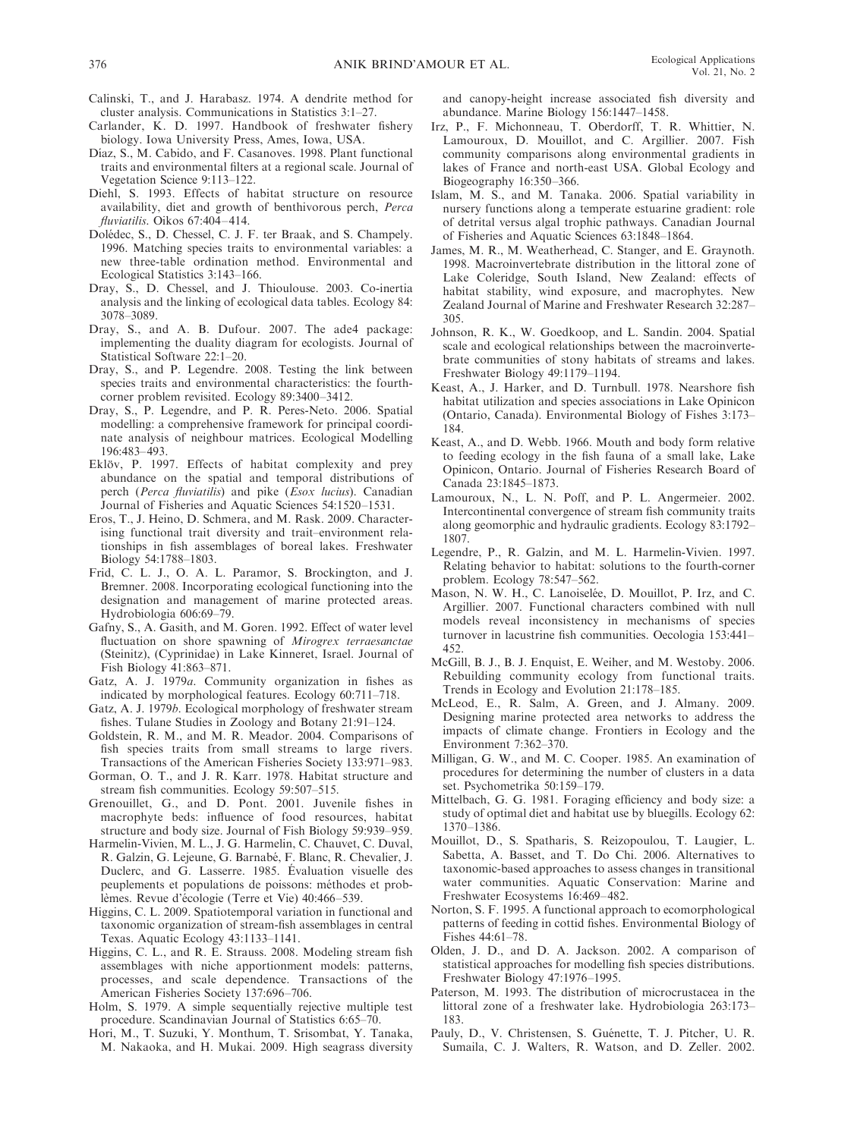- Calinski, T., and J. Harabasz. 1974. A dendrite method for cluster analysis. Communications in Statistics 3:1–27.
- Carlander, K. D. 1997. Handbook of freshwater fishery biology. Iowa University Press, Ames, Iowa, USA.
- Díaz, S., M. Cabido, and F. Casanoves. 1998. Plant functional traits and environmental filters at a regional scale. Journal of Vegetation Science 9:113–122.
- Diehl, S. 1993. Effects of habitat structure on resource availability, diet and growth of benthivorous perch, Perca fluviatilis. Oikos 67:404-414.
- Dolédec, S., D. Chessel, C. J. F. ter Braak, and S. Champely. 1996. Matching species traits to environmental variables: a new three-table ordination method. Environmental and Ecological Statistics 3:143–166.
- Dray, S., D. Chessel, and J. Thioulouse. 2003. Co-inertia analysis and the linking of ecological data tables. Ecology 84: 3078–3089.
- Dray, S., and A. B. Dufour. 2007. The ade4 package: implementing the duality diagram for ecologists. Journal of Statistical Software 22:1–20.
- Dray, S., and P. Legendre. 2008. Testing the link between species traits and environmental characteristics: the fourthcorner problem revisited. Ecology 89:3400–3412.
- Dray, S., P. Legendre, and P. R. Peres-Neto. 2006. Spatial modelling: a comprehensive framework for principal coordinate analysis of neighbour matrices. Ecological Modelling 196:483–493.
- Eklöv, P. 1997. Effects of habitat complexity and prey abundance on the spatial and temporal distributions of perch (Perca fluviatilis) and pike (Esox lucius). Canadian Journal of Fisheries and Aquatic Sciences 54:1520–1531.
- Eros, T., J. Heino, D. Schmera, and M. Rask. 2009. Characterising functional trait diversity and trait–environment relationships in fish assemblages of boreal lakes. Freshwater Biology 54:1788–1803.
- Frid, C. L. J., O. A. L. Paramor, S. Brockington, and J. Bremner. 2008. Incorporating ecological functioning into the designation and management of marine protected areas. Hydrobiologia 606:69–79.
- Gafny, S., A. Gasith, and M. Goren. 1992. Effect of water level fluctuation on shore spawning of Mirogrex terraesanctae (Steinitz), (Cyprinidae) in Lake Kinneret, Israel. Journal of Fish Biology 41:863–871.
- Gatz, A. J. 1979a. Community organization in fishes as indicated by morphological features. Ecology 60:711–718.
- Gatz, A. J. 1979b. Ecological morphology of freshwater stream fishes. Tulane Studies in Zoology and Botany 21:91–124.
- Goldstein, R. M., and M. R. Meador. 2004. Comparisons of fish species traits from small streams to large rivers. Transactions of the American Fisheries Society 133:971–983.
- Gorman, O. T., and J. R. Karr. 1978. Habitat structure and stream fish communities. Ecology 59:507–515.
- Grenouillet, G., and D. Pont. 2001. Juvenile fishes in macrophyte beds: influence of food resources, habitat structure and body size. Journal of Fish Biology 59:939–959.
- Harmelin-Vivien, M. L., J. G. Harmelin, C. Chauvet, C. Duval, R. Galzin, G. Lejeune, G. Barnabé, F. Blanc, R. Chevalier, J. Duclerc, and G. Lasserre. 1985. Evaluation visuelle des peuplements et populations de poissons: méthodes et problèmes. Revue d'écologie (Terre et Vie) 40:466-539.
- Higgins, C. L. 2009. Spatiotemporal variation in functional and taxonomic organization of stream-fish assemblages in central Texas. Aquatic Ecology 43:1133–1141.
- Higgins, C. L., and R. E. Strauss. 2008. Modeling stream fish assemblages with niche apportionment models: patterns, processes, and scale dependence. Transactions of the American Fisheries Society 137:696–706.
- Holm, S. 1979. A simple sequentially rejective multiple test procedure. Scandinavian Journal of Statistics 6:65–70.
- Hori, M., T. Suzuki, Y. Monthum, T. Srisombat, Y. Tanaka, M. Nakaoka, and H. Mukai. 2009. High seagrass diversity

and canopy-height increase associated fish diversity and abundance. Marine Biology 156:1447–1458.

- Irz, P., F. Michonneau, T. Oberdorff, T. R. Whittier, N. Lamouroux, D. Mouillot, and C. Argillier. 2007. Fish community comparisons along environmental gradients in lakes of France and north-east USA. Global Ecology and Biogeography 16:350–366.
- Islam, M. S., and M. Tanaka. 2006. Spatial variability in nursery functions along a temperate estuarine gradient: role of detrital versus algal trophic pathways. Canadian Journal of Fisheries and Aquatic Sciences 63:1848–1864.
- James, M. R., M. Weatherhead, C. Stanger, and E. Graynoth. 1998. Macroinvertebrate distribution in the littoral zone of Lake Coleridge, South Island, New Zealand: effects of habitat stability, wind exposure, and macrophytes. New Zealand Journal of Marine and Freshwater Research 32:287– 305.
- Johnson, R. K., W. Goedkoop, and L. Sandin. 2004. Spatial scale and ecological relationships between the macroinvertebrate communities of stony habitats of streams and lakes. Freshwater Biology 49:1179–1194.
- Keast, A., J. Harker, and D. Turnbull. 1978. Nearshore fish habitat utilization and species associations in Lake Opinicon (Ontario, Canada). Environmental Biology of Fishes 3:173– 184.
- Keast, A., and D. Webb. 1966. Mouth and body form relative to feeding ecology in the fish fauna of a small lake, Lake Opinicon, Ontario. Journal of Fisheries Research Board of Canada 23:1845–1873.
- Lamouroux, N., L. N. Poff, and P. L. Angermeier. 2002. Intercontinental convergence of stream fish community traits along geomorphic and hydraulic gradients. Ecology 83:1792– 1807.
- Legendre, P., R. Galzin, and M. L. Harmelin-Vivien. 1997. Relating behavior to habitat: solutions to the fourth-corner problem. Ecology 78:547–562.
- Mason, N. W. H., C. Lanoiselée, D. Mouillot, P. Irz, and C. Argillier. 2007. Functional characters combined with null models reveal inconsistency in mechanisms of species turnover in lacustrine fish communities. Oecologia 153:441– 452.
- McGill, B. J., B. J. Enquist, E. Weiher, and M. Westoby. 2006. Rebuilding community ecology from functional traits. Trends in Ecology and Evolution 21:178–185.
- McLeod, E., R. Salm, A. Green, and J. Almany. 2009. Designing marine protected area networks to address the impacts of climate change. Frontiers in Ecology and the Environment 7:362–370.
- Milligan, G. W., and M. C. Cooper. 1985. An examination of procedures for determining the number of clusters in a data set. Psychometrika 50:159–179.
- Mittelbach, G. G. 1981. Foraging efficiency and body size: a study of optimal diet and habitat use by bluegills. Ecology 62: 1370–1386.
- Mouillot, D., S. Spatharis, S. Reizopoulou, T. Laugier, L. Sabetta, A. Basset, and T. Do Chi. 2006. Alternatives to taxonomic-based approaches to assess changes in transitional water communities. Aquatic Conservation: Marine and Freshwater Ecosystems 16:469–482.
- Norton, S. F. 1995. A functional approach to ecomorphological patterns of feeding in cottid fishes. Environmental Biology of Fishes 44:61–78.
- Olden, J. D., and D. A. Jackson. 2002. A comparison of statistical approaches for modelling fish species distributions. Freshwater Biology 47:1976–1995.
- Paterson, M. 1993. The distribution of microcrustacea in the littoral zone of a freshwater lake. Hydrobiologia 263:173– 183.
- Pauly, D., V. Christensen, S. Guénette, T. J. Pitcher, U. R. Sumaila, C. J. Walters, R. Watson, and D. Zeller. 2002.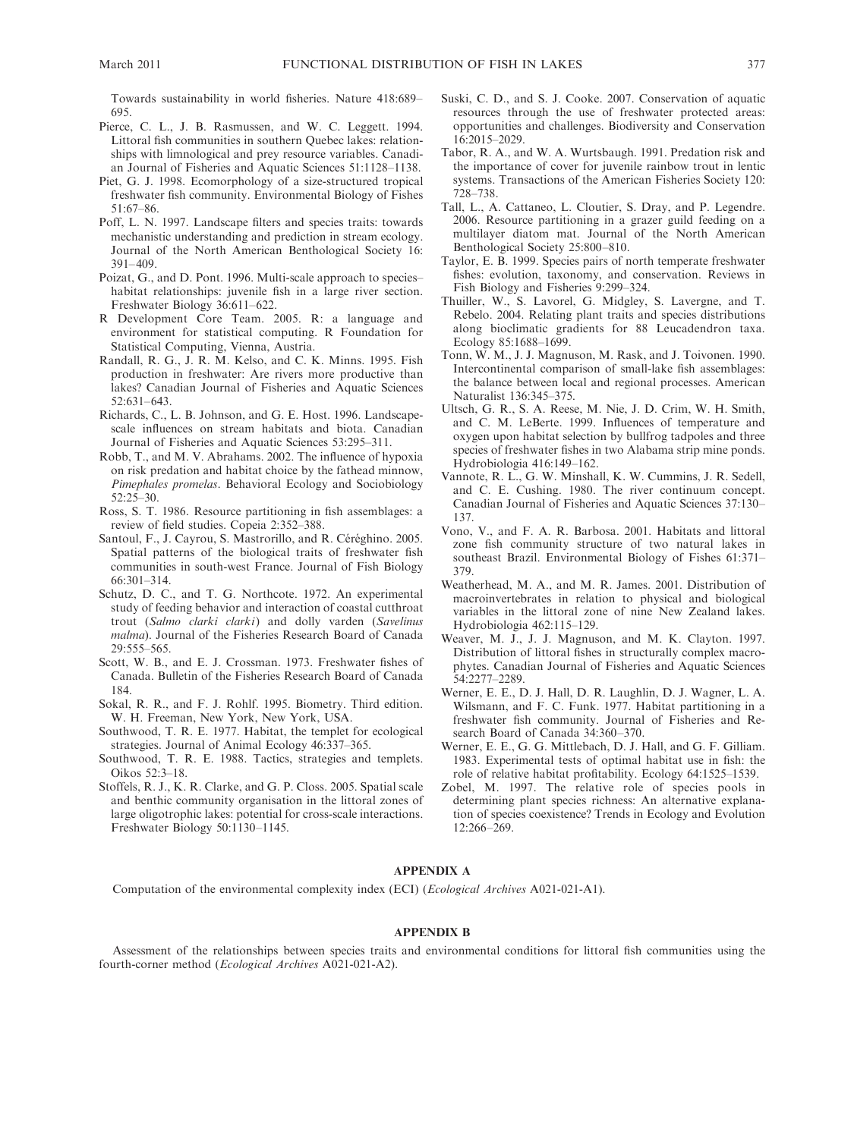Towards sustainability in world fisheries. Nature 418:689– 695.

- Pierce, C. L., J. B. Rasmussen, and W. C. Leggett. 1994. Littoral fish communities in southern Quebec lakes: relationships with limnological and prey resource variables. Canadian Journal of Fisheries and Aquatic Sciences 51:1128–1138.
- Piet, G. J. 1998. Ecomorphology of a size-structured tropical freshwater fish community. Environmental Biology of Fishes 51:67–86.
- Poff, L. N. 1997. Landscape filters and species traits: towards mechanistic understanding and prediction in stream ecology. Journal of the North American Benthological Society 16: 391–409.
- Poizat, G., and D. Pont. 1996. Multi-scale approach to species– habitat relationships: juvenile fish in a large river section. Freshwater Biology 36:611–622.
- R Development Core Team. 2005. R: a language and environment for statistical computing. R Foundation for Statistical Computing, Vienna, Austria.
- Randall, R. G., J. R. M. Kelso, and C. K. Minns. 1995. Fish production in freshwater: Are rivers more productive than lakes? Canadian Journal of Fisheries and Aquatic Sciences 52:631–643.
- Richards, C., L. B. Johnson, and G. E. Host. 1996. Landscapescale influences on stream habitats and biota. Canadian Journal of Fisheries and Aquatic Sciences 53:295–311.
- Robb, T., and M. V. Abrahams. 2002. The influence of hypoxia on risk predation and habitat choice by the fathead minnow, Pimephales promelas. Behavioral Ecology and Sociobiology  $52:25 - 30.$
- Ross, S. T. 1986. Resource partitioning in fish assemblages: a review of field studies. Copeia 2:352–388.
- Santoul, F., J. Cayrou, S. Mastrorillo, and R. Céréghino. 2005. Spatial patterns of the biological traits of freshwater fish communities in south-west France. Journal of Fish Biology 66:301–314.
- Schutz, D. C., and T. G. Northcote. 1972. An experimental study of feeding behavior and interaction of coastal cutthroat trout (Salmo clarki clarki) and dolly varden (Savelinus malma). Journal of the Fisheries Research Board of Canada 29:555–565.
- Scott, W. B., and E. J. Crossman. 1973. Freshwater fishes of Canada. Bulletin of the Fisheries Research Board of Canada 184.
- Sokal, R. R., and F. J. Rohlf. 1995. Biometry. Third edition. W. H. Freeman, New York, New York, USA.
- Southwood, T. R. E. 1977. Habitat, the templet for ecological strategies. Journal of Animal Ecology 46:337–365.
- Southwood, T. R. E. 1988. Tactics, strategies and templets. Oikos 52:3–18.
- Stoffels, R. J., K. R. Clarke, and G. P. Closs. 2005. Spatial scale and benthic community organisation in the littoral zones of large oligotrophic lakes: potential for cross-scale interactions. Freshwater Biology 50:1130–1145.
- Suski, C. D., and S. J. Cooke. 2007. Conservation of aquatic resources through the use of freshwater protected areas: opportunities and challenges. Biodiversity and Conservation 16:2015–2029.
- Tabor, R. A., and W. A. Wurtsbaugh. 1991. Predation risk and the importance of cover for juvenile rainbow trout in lentic systems. Transactions of the American Fisheries Society 120: 728–738.
- Tall, L., A. Cattaneo, L. Cloutier, S. Dray, and P. Legendre. 2006. Resource partitioning in a grazer guild feeding on a multilayer diatom mat. Journal of the North American Benthological Society 25:800–810.
- Taylor, E. B. 1999. Species pairs of north temperate freshwater fishes: evolution, taxonomy, and conservation. Reviews in Fish Biology and Fisheries 9:299–324.
- Thuiller, W., S. Lavorel, G. Midgley, S. Lavergne, and T. Rebelo. 2004. Relating plant traits and species distributions along bioclimatic gradients for 88 Leucadendron taxa. Ecology 85:1688–1699.
- Tonn, W. M., J. J. Magnuson, M. Rask, and J. Toivonen. 1990. Intercontinental comparison of small-lake fish assemblages: the balance between local and regional processes. American Naturalist 136:345–375.
- Ultsch, G. R., S. A. Reese, M. Nie, J. D. Crim, W. H. Smith, and C. M. LeBerte. 1999. Influences of temperature and oxygen upon habitat selection by bullfrog tadpoles and three species of freshwater fishes in two Alabama strip mine ponds. Hydrobiologia 416:149–162.
- Vannote, R. L., G. W. Minshall, K. W. Cummins, J. R. Sedell, and C. E. Cushing. 1980. The river continuum concept. Canadian Journal of Fisheries and Aquatic Sciences 37:130– 137.
- Vono, V., and F. A. R. Barbosa. 2001. Habitats and littoral zone fish community structure of two natural lakes in southeast Brazil. Environmental Biology of Fishes 61:371– 379.
- Weatherhead, M. A., and M. R. James. 2001. Distribution of macroinvertebrates in relation to physical and biological variables in the littoral zone of nine New Zealand lakes. Hydrobiologia 462:115–129.
- Weaver, M. J., J. J. Magnuson, and M. K. Clayton. 1997. Distribution of littoral fishes in structurally complex macrophytes. Canadian Journal of Fisheries and Aquatic Sciences 54:2277–2289.
- Werner, E. E., D. J. Hall, D. R. Laughlin, D. J. Wagner, L. A. Wilsmann, and F. C. Funk. 1977. Habitat partitioning in a freshwater fish community. Journal of Fisheries and Research Board of Canada 34:360–370.
- Werner, E. E., G. G. Mittlebach, D. J. Hall, and G. F. Gilliam. 1983. Experimental tests of optimal habitat use in fish: the role of relative habitat profitability. Ecology 64:1525–1539.
- Zobel, M. 1997. The relative role of species pools in determining plant species richness: An alternative explanation of species coexistence? Trends in Ecology and Evolution 12:266–269.

# APPENDIX A

Computation of the environmental complexity index (ECI) (Ecological Archives A021-021-A1).

#### APPENDIX B

Assessment of the relationships between species traits and environmental conditions for littoral fish communities using the fourth-corner method (Ecological Archives A021-021-A2).